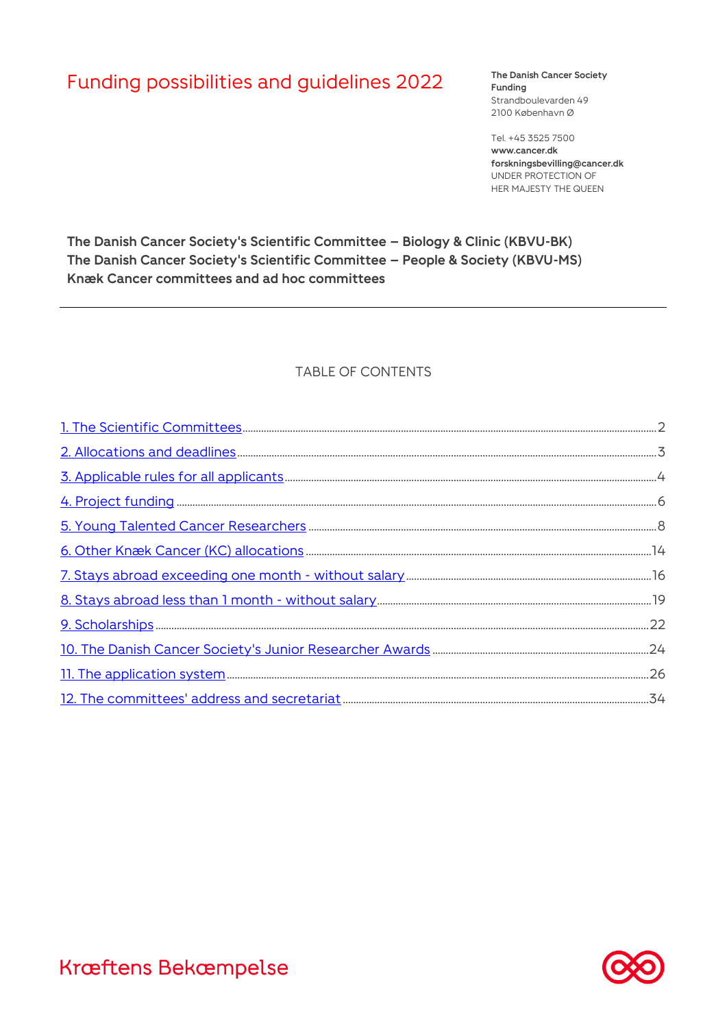# Funding possibilities and guidelines 2022 The Danish Cancer Society

**Funding** Strandboulevarden 49 2100 København Ø

Tel. +45 3525 7500 **www.cancer.dk forskningsbevilling@cancer.dk** UNDER PROTECTION OF HER MAJESTY THE QUEEN

**The Danish Cancer Society's Scientific Committee – Biology & Clinic (KBVU-BK) The Danish Cancer Society's Scientific Committee – People & Society (KBVU-MS) Knæk Cancer committees and ad hoc committees**

### TABLE OF CONTENTS

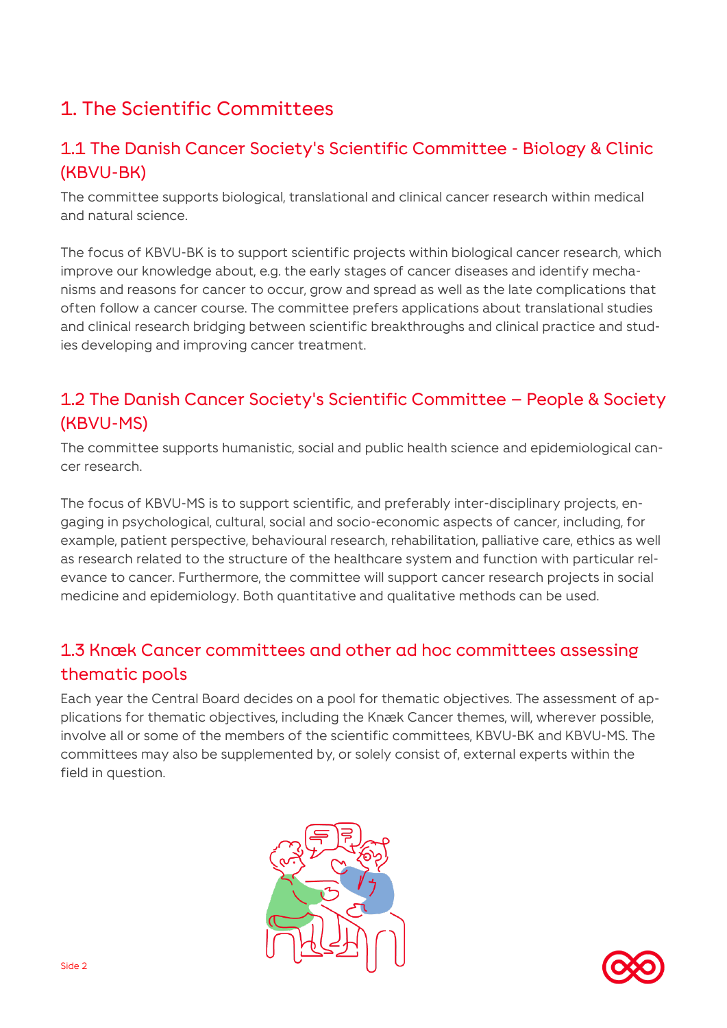# <span id="page-1-0"></span>1. The Scientific Committees

### 1.1 The Danish Cancer Society's Scientific Committee - Biology & Clinic (KBVU-BK)

The committee supports biological, translational and clinical cancer research within medical and natural science.

The focus of KBVU-BK is to support scientific projects within biological cancer research, which improve our knowledge about, e.g. the early stages of cancer diseases and identify mechanisms and reasons for cancer to occur, grow and spread as well as the late complications that often follow a cancer course. The committee prefers applications about translational studies and clinical research bridging between scientific breakthroughs and clinical practice and studies developing and improving cancer treatment.

### 1.2 The Danish Cancer Society's Scientific Committee – People & Society (KBVU-MS)

The committee supports humanistic, social and public health science and epidemiological cancer research.

The focus of KBVU-MS is to support scientific, and preferably inter-disciplinary projects, engaging in psychological, cultural, social and socio-economic aspects of cancer, including, for example, patient perspective, behavioural research, rehabilitation, palliative care, ethics as well as research related to the structure of the healthcare system and function with particular relevance to cancer. Furthermore, the committee will support cancer research projects in social medicine and epidemiology. Both quantitative and qualitative methods can be used.

### 1.3 Knæk Cancer committees and other ad hoc committees assessing thematic pools

Each year the Central Board decides on a pool for thematic objectives. The assessment of applications for thematic objectives, including the Knæk Cancer themes, will, wherever possible, involve all or some of the members of the scientific committees, KBVU-BK and KBVU-MS. The committees may also be supplemented by, or solely consist of, external experts within the field in question.



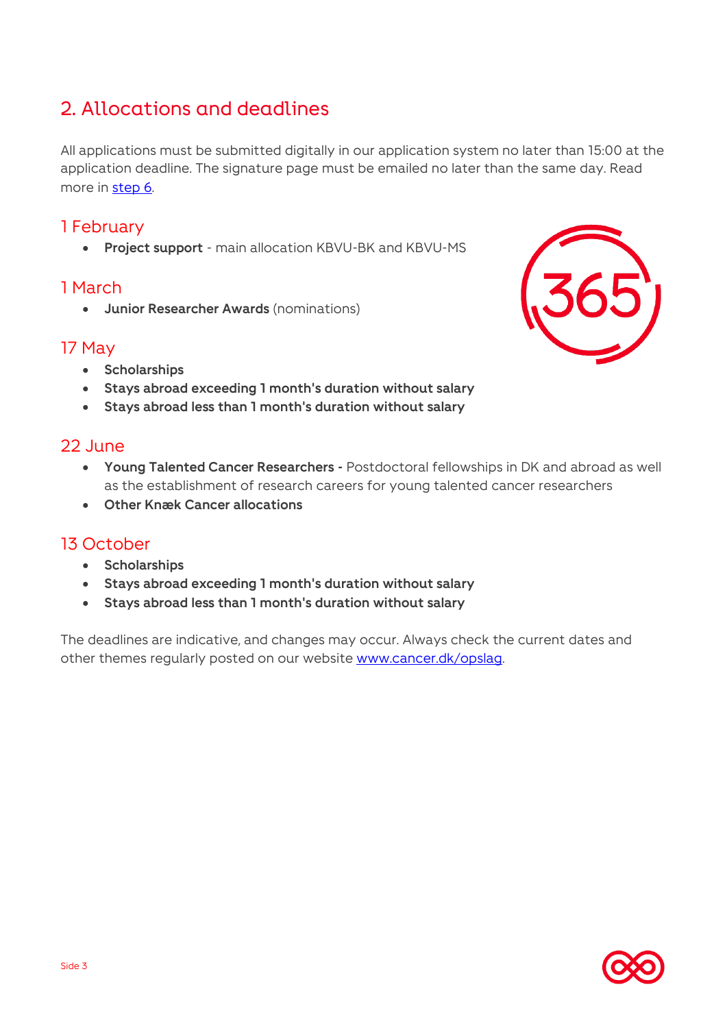# <span id="page-2-0"></span>2. Allocations and deadlines

All applications must be submitted digitally in our application system no later than 15:00 at the application deadline. The signature page must be emailed no later than the same day. Read more in [step 6.](#page-32-0)

### 1 February

**Project support** - main allocation KBVU-BK and KBVU-MS

### 1 March

**Junior Researcher Awards** (nominations)

### 17 May

- **s** Scholarships
- **Stays abroad exceeding 1 month's duration without salary**
- **Stays abroad less than 1 month's duration without salary**

### 22 June

- **Young Talented Cancer Researchers -** Postdoctoral fellowships in DK and abroad as well as the establishment of research careers for young talented cancer researchers
- **Other Knæk Cancer allocations**

### 13 October

- **Scholarships**
- **Stays abroad exceeding 1 month's duration without salary**
- **Stays abroad less than 1 month's duration without salary**

The deadlines are indicative, and changes may occur. Always check the current dates and other themes regularly posted on our website [www.cancer.dk/opslag.](http://www.cancer.dk/opslag)

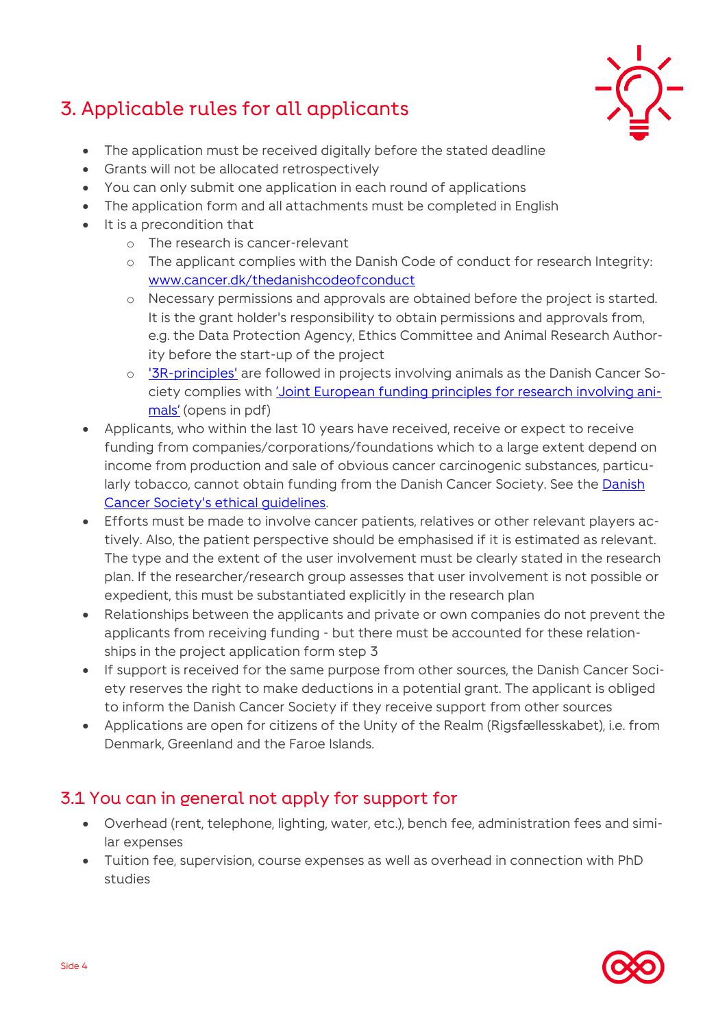# <span id="page-3-0"></span>3. Applicable rules for all applicants



- The application must be received digitally before the stated deadline
- Grants will not be allocated retrospectively
- You can only submit one application in each round of applications
- The application form and all attachments must be completed in English
- It is a precondition that
	- o The research is cancer-relevant
	- o The applicant complies with the Danish Code of conduct for research Integrity: [www.cancer.dk/thedanishcodeofconduct](http://www.cancer.dk/thedanishcodeofconduct)
	- o Necessary permissions and approvals are obtained before the project is started. It is the grant holder's responsibility to obtain permissions and approvals from, e.g. the Data Protection Agency, Ethics Committee and Animal Research Authority before the start-up of the project
	- o ['3R-principles'](https://en.3rcenter.dk/laboratory-animals/animal-testing/) are followed in projects involving animals as the Danish Cancer Society complies with *['Joint European funding principles for research involving ani](https://wellcome.ac.uk/sites/default/files/funding-principles-for-research-involving-animals.pdf)*[mals'](https://wellcome.ac.uk/sites/default/files/funding-principles-for-research-involving-animals.pdf) (opens in pdf)
- Applicants, who within the last 10 years have received, receive or expect to receive funding from companies/corporations/foundations which to a large extent depend on income from production and sale of obvious cancer carcinogenic substances, particu-larly tobacco, cannot obtain funding from the [Danish](https://www.cancer.dk/om-os/vision-og-formaal/vedtaegter-og-etik/etiske-retningslinjer/) Cancer Society. See the Danish [Cancer Society's ethical guidelines.](https://www.cancer.dk/om-os/vision-og-formaal/vedtaegter-og-etik/etiske-retningslinjer/)
- Efforts must be made to involve cancer patients, relatives or other relevant players actively. Also, the patient perspective should be emphasised if it is estimated as relevant. The type and the extent of the user involvement must be clearly stated in the research plan. If the researcher/research group assesses that user involvement is not possible or expedient, this must be substantiated explicitly in the research plan
- Relationships between the applicants and private or own companies do not prevent the applicants from receiving funding - but there must be accounted for these relationships in the project application form step 3
- **If support is received for the same purpose from other sources, the Danish Cancer Soci**ety reserves the right to make deductions in a potential grant. The applicant is obliged to inform the Danish Cancer Society if they receive support from other sources
- Applications are open for citizens of the Unity of the Realm (Rigsfællesskabet), i.e. from Denmark, Greenland and the Faroe Islands.

# 3.1 You can in general not apply for support for

- Overhead (rent, telephone, lighting, water, etc.), bench fee, administration fees and similar expenses
- Tuition fee, supervision, course expenses as well as overhead in connection with PhD studies

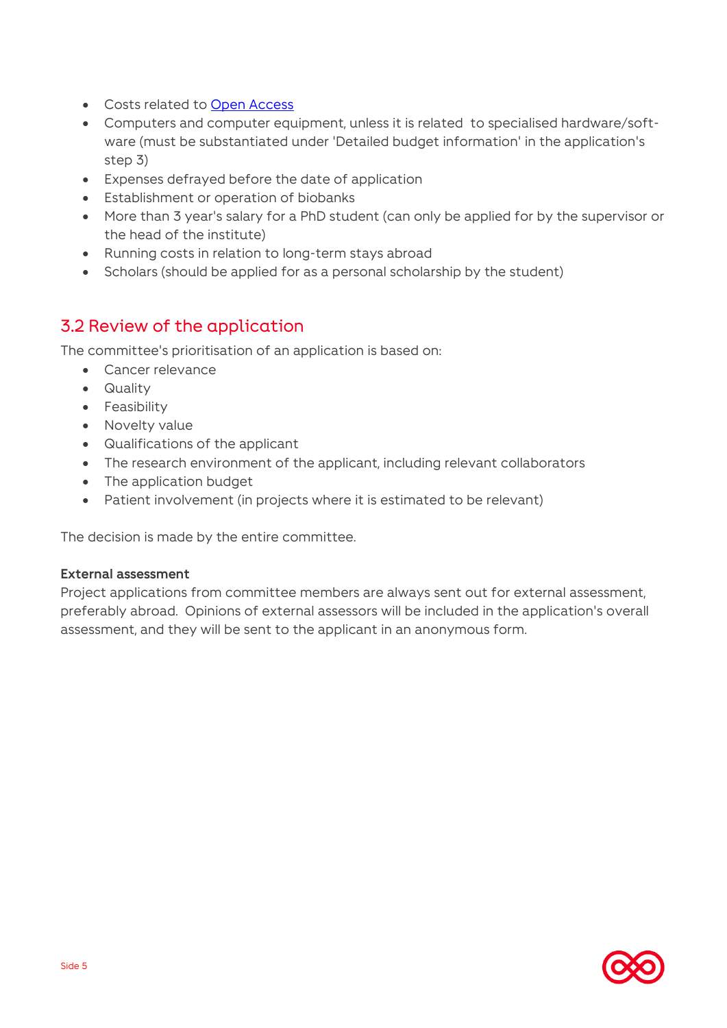- Costs related to [Open Access](https://www.cancer.dk/forskning/stoette-til-forskning/til-bevillingshavere/open-access/)
- Computers and computer equipment, unless it is related to specialised hardware/software (must be substantiated under 'Detailed budget information' in the application's step 3)
- Expenses defrayed before the date of application
- Establishment or operation of biobanks
- More than 3 year's salary for a PhD student (can only be applied for by the supervisor or the head of the institute)
- Running costs in relation to long-term stays abroad
- Scholars (should be applied for as a personal scholarship by the student)

### 3.2 Review of the application

The committee's prioritisation of an application is based on:

- Cancer relevance
- Quality
- Feasibility
- Novelty value
- Qualifications of the applicant
- The research environment of the applicant, including relevant collaborators
- The application budget
- Patient involvement (in projects where it is estimated to be relevant)

The decision is made by the entire committee.

#### **External assessment**

Project applications from committee members are always sent out for external assessment, preferably abroad. Opinions of external assessors will be included in the application's overall assessment, and they will be sent to the applicant in an anonymous form.

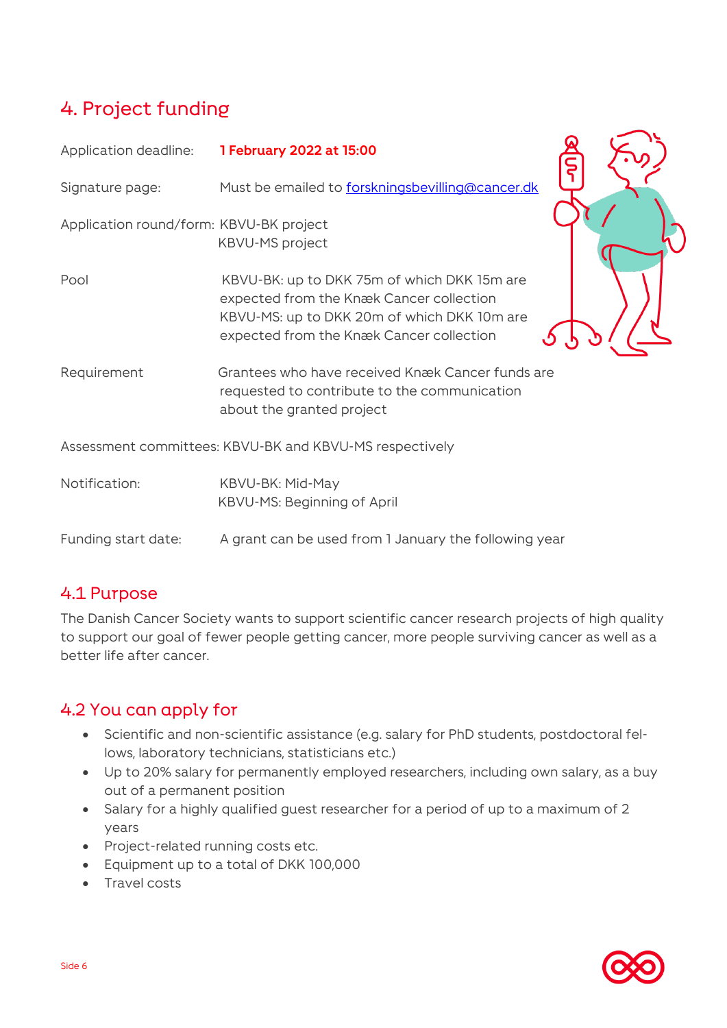# <span id="page-5-0"></span>4. Project funding

| Application deadline:                   | 1 February 2022 at 15:00                                                                                                                                                           |
|-----------------------------------------|------------------------------------------------------------------------------------------------------------------------------------------------------------------------------------|
| Signature page:                         | Must be emailed to forskningsbevilling@cancer.dk                                                                                                                                   |
| Application round/form: KBVU-BK project | <b>KBVU-MS</b> project                                                                                                                                                             |
| Pool                                    | KBVU-BK: up to DKK 75m of which DKK 15m are<br>expected from the Knæk Cancer collection<br>KBVU-MS: up to DKK 20m of which DKK 10m are<br>expected from the Knæk Cancer collection |
| Requirement                             | Grantees who have received Knæk Cancer funds are<br>requested to contribute to the communication<br>about the granted project                                                      |
|                                         | Assessment committees: KBVU-BK and KBVU-MS respectively                                                                                                                            |
| Notification:                           | KBVU-BK: Mid-May<br>KBVU-MS: Beginning of April                                                                                                                                    |
| Funding start date:                     | A grant can be used from 1 January the following year                                                                                                                              |

### 4.1 Purpose

The Danish Cancer Society wants to support scientific cancer research projects of high quality to support our goal of fewer people getting cancer, more people surviving cancer as well as a better life after cancer.

### 4.2 You can apply for

- Scientific and non-scientific assistance (e.g. salary for PhD students, postdoctoral fellows, laboratory technicians, statisticians etc.)
- Up to 20% salary for permanently employed researchers, including own salary, as a buy out of a permanent position
- Salary for a highly qualified guest researcher for a period of up to a maximum of 2 years
- Project-related running costs etc.
- Equipment up to a total of DKK 100,000
- Travel costs

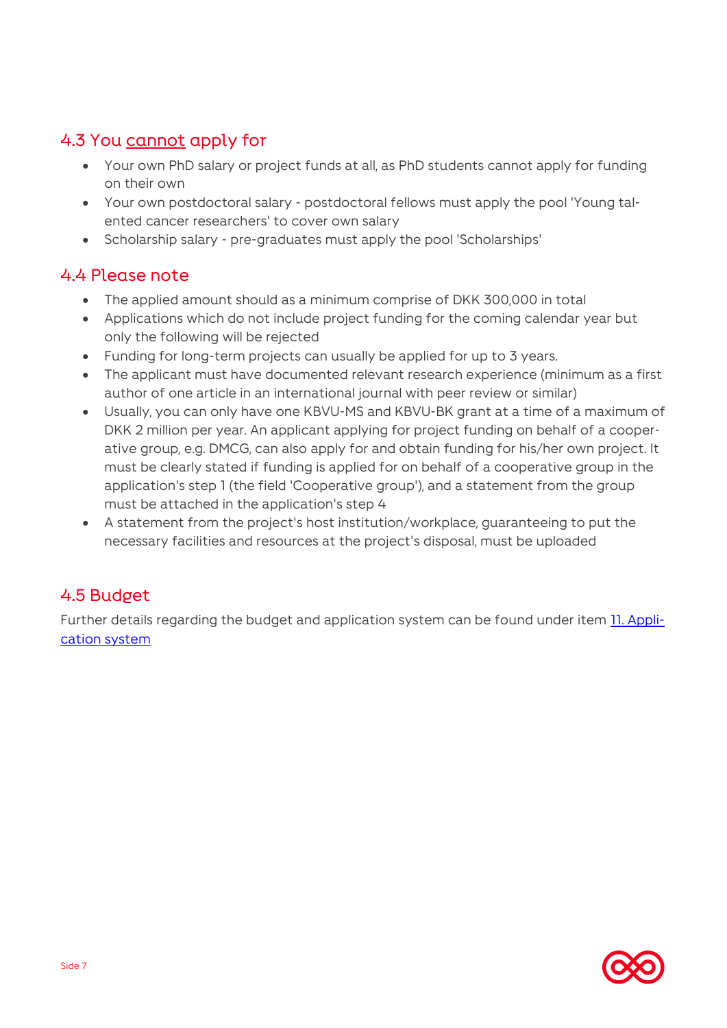## 4.3 You cannot apply for

- Your own PhD salary or project funds at all, as PhD students cannot apply for funding on their own
- Your own postdoctoral salary postdoctoral fellows must apply the pool 'Young talented cancer researchers' to cover own salary
- Scholarship salary pre-graduates must apply the pool 'Scholarships'

### 4.4 Please note

- The applied amount should as a minimum comprise of DKK 300,000 in total
- Applications which do not include project funding for the coming calendar year but only the following will be rejected
- Funding for long-term projects can usually be applied for up to 3 years.
- The applicant must have documented relevant research experience (minimum as a first author of one article in an international journal with peer review or similar)
- Usually, you can only have one KBVU-MS and KBVU-BK grant at a time of a maximum of DKK 2 million per year. An applicant applying for project funding on behalf of a cooperative group, e.g. DMCG, can also apply for and obtain funding for his/her own project. It must be clearly stated if funding is applied for on behalf of a cooperative group in the application's step 1 (the field 'Cooperative group'), and a statement from the group must be attached in the application's step 4
- A statement from the project's host institution/workplace, guaranteeing to put the necessary facilities and resources at the project's disposal, must be uploaded

### 4.5 Budget

Further details regarding the budget and application system can be found under item [11. Appli](#page-25-0)[cation system](#page-25-0)

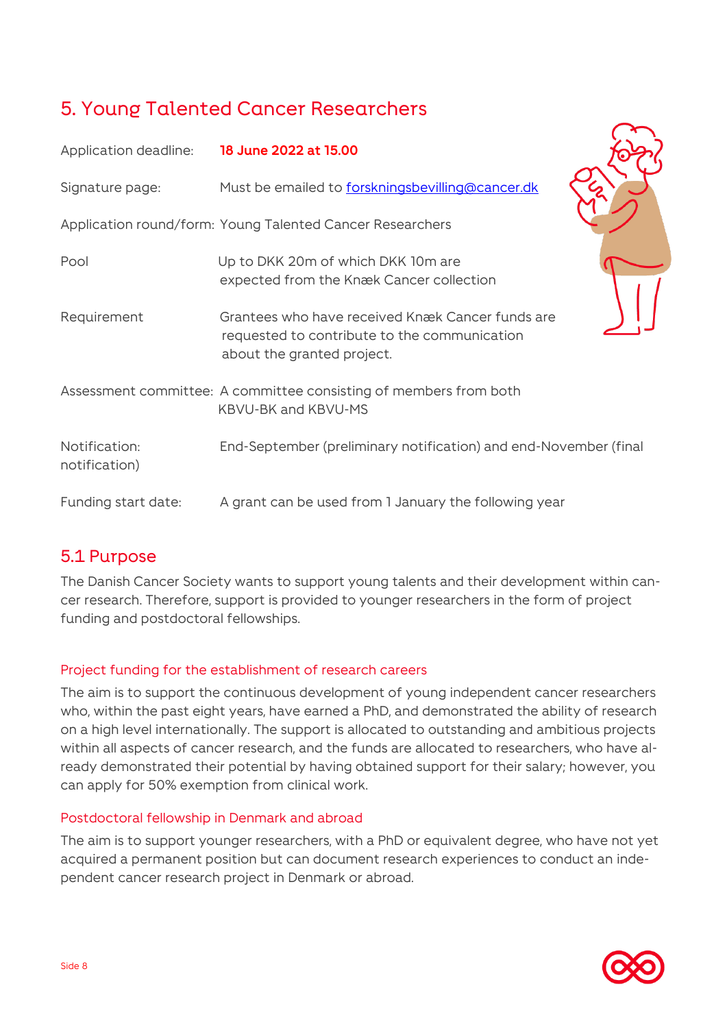# <span id="page-7-0"></span>5. Young Talented Cancer Researchers

| Application deadline: 18 June 2022 at 15.00 |                                                                                                                                |
|---------------------------------------------|--------------------------------------------------------------------------------------------------------------------------------|
| Signature page:                             | Must be emailed to forskningsbevilling@cancer.dk                                                                               |
|                                             | Application round/form: Young Talented Cancer Researchers                                                                      |
| Pool                                        | Up to DKK 20m of which DKK 10m are<br>expected from the Knæk Cancer collection                                                 |
| Requirement                                 | Grantees who have received Knæk Cancer funds are<br>requested to contribute to the communication<br>about the granted project. |
|                                             | Assessment committee: A committee consisting of members from both<br><b>KBVU-BK and KBVU-MS</b>                                |
| Notification:<br>notification)              | End-September (preliminary notification) and end-November (final                                                               |
| Funding start date:                         | A grant can be used from 1 January the following year                                                                          |

### 5.1 Purpose

The Danish Cancer Society wants to support young talents and their development within cancer research. Therefore, support is provided to younger researchers in the form of project funding and postdoctoral fellowships.

### Project funding for the establishment of research careers

The aim is to support the continuous development of young independent cancer researchers who, within the past eight years, have earned a PhD, and demonstrated the ability of research on a high level internationally. The support is allocated to outstanding and ambitious projects within all aspects of cancer research, and the funds are allocated to researchers, who have already demonstrated their potential by having obtained support for their salary; however, you can apply for 50% exemption from clinical work.

### Postdoctoral fellowship in Denmark and abroad

The aim is to support younger researchers, with a PhD or equivalent degree, who have not yet acquired a permanent position but can document research experiences to conduct an independent cancer research project in Denmark or abroad.

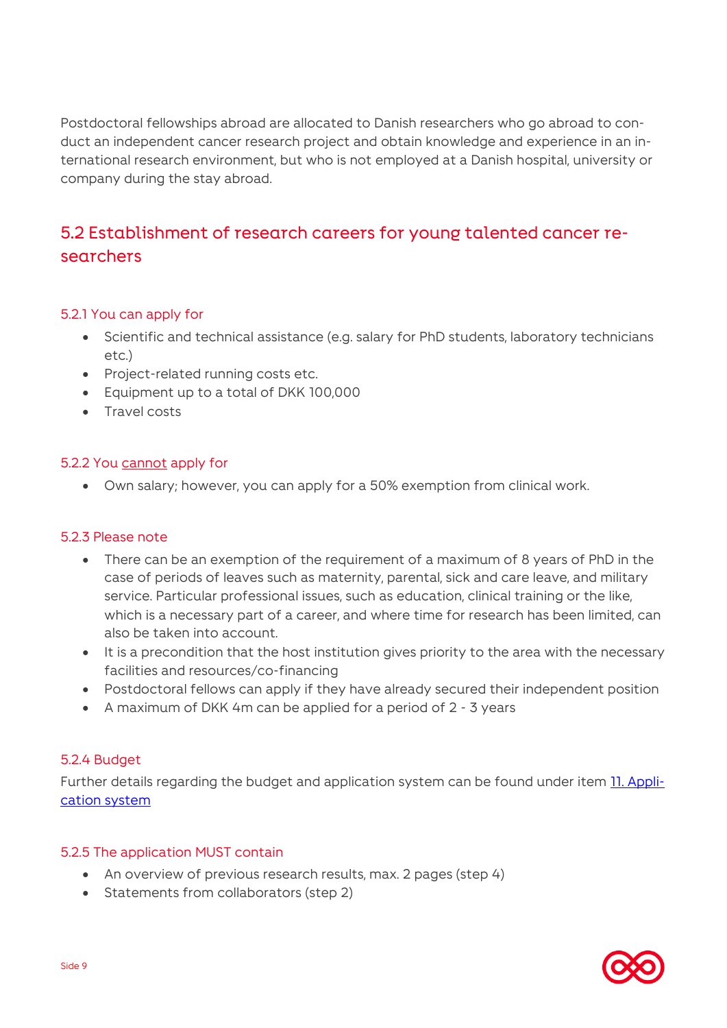Postdoctoral fellowships abroad are allocated to Danish researchers who go abroad to conduct an independent cancer research project and obtain knowledge and experience in an international research environment, but who is not employed at a Danish hospital, university or company during the stay abroad.

### 5.2 Establishment of research careers for young talented cancer researchers

#### 5.2.1 You can apply for

- Scientific and technical assistance (e.g. salary for PhD students, laboratory technicians etc.)
- Project-related running costs etc.
- Equipment up to a total of DKK 100,000
- **Travel costs**

#### 5.2.2 You cannot apply for

Own salary; however, you can apply for a 50% exemption from clinical work.

#### 5.2.3 Please note

- There can be an exemption of the requirement of a maximum of 8 years of PhD in the case of periods of leaves such as maternity, parental, sick and care leave, and military service. Particular professional issues, such as education, clinical training or the like, which is a necessary part of a career, and where time for research has been limited, can also be taken into account.
- It is a precondition that the host institution gives priority to the area with the necessary facilities and resources/co-financing
- Postdoctoral fellows can apply if they have already secured their independent position
- A maximum of DKK 4m can be applied for a period of 2 3 years

#### 5.2.4 Budget

Further details regarding the budget and application system can be found under item [11. Appli](#page-25-0)[cation system](#page-25-0)

#### 5.2.5 The application MUST contain

- An overview of previous research results, max. 2 pages (step 4)
- Statements from collaborators (step 2)

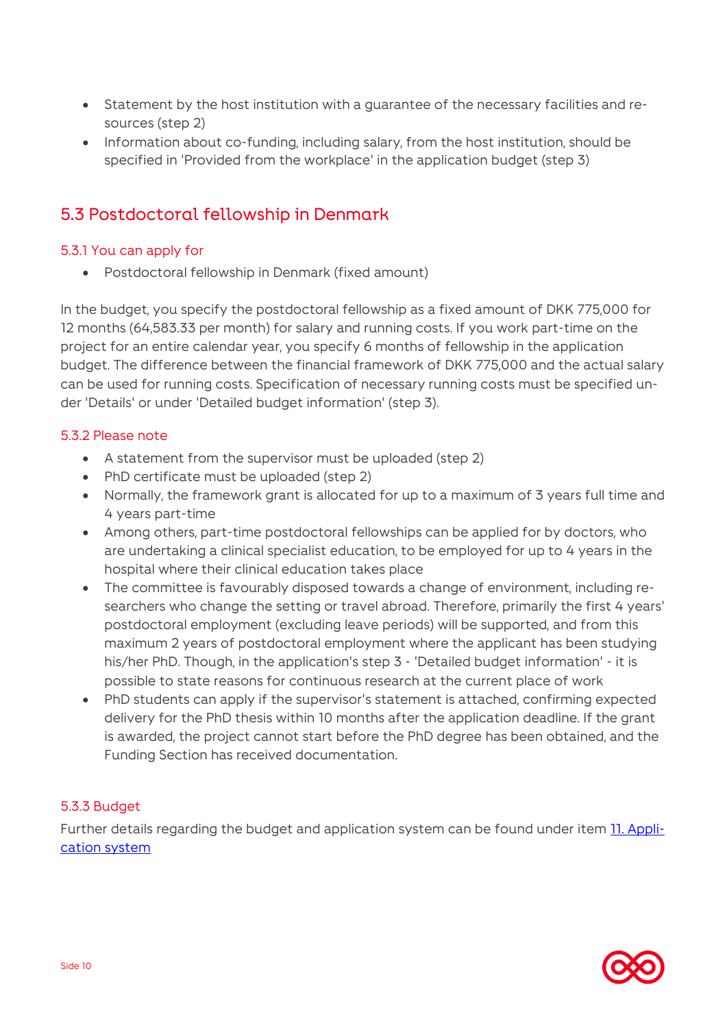- Statement by the host institution with a guarantee of the necessary facilities and resources (step 2)
- Information about co-funding, including salary, from the host institution, should be specified in 'Provided from the workplace' in the application budget (step 3)

### 5.3 Postdoctoral fellowship in Denmark

### 5.3.1 You can apply for

Postdoctoral fellowship in Denmark (fixed amount)

In the budget, you specify the postdoctoral fellowship as a fixed amount of DKK 775,000 for 12 months (64,583.33 per month) for salary and running costs. If you work part-time on the project for an entire calendar year, you specify 6 months of fellowship in the application budget. The difference between the financial framework of DKK 775,000 and the actual salary can be used for running costs. Specification of necessary running costs must be specified under 'Details' or under 'Detailed budget information' (step 3).

### 5.3.2 Please note

- A statement from the supervisor must be uploaded (step 2)
- PhD certificate must be uploaded (step 2)
- Normally, the framework grant is allocated for up to a maximum of 3 years full time and 4 years part-time
- Among others, part-time postdoctoral fellowships can be applied for by doctors, who are undertaking a clinical specialist education, to be employed for up to 4 years in the hospital where their clinical education takes place
- The committee is favourably disposed towards a change of environment, including researchers who change the setting or travel abroad. Therefore, primarily the first 4 years' postdoctoral employment (excluding leave periods) will be supported, and from this maximum 2 years of postdoctoral employment where the applicant has been studying his/her PhD. Though, in the application's step 3 - 'Detailed budget information' - it is possible to state reasons for continuous research at the current place of work
- PhD students can apply if the supervisor's statement is attached, confirming expected delivery for the PhD thesis within 10 months after the application deadline. If the grant is awarded, the project cannot start before the PhD degree has been obtained, and the Funding Section has received documentation.

### 5.3.3 Budget

Further details regarding the budget and application system can be found under item [11. Appli](#page-25-0)[cation system](#page-25-0)

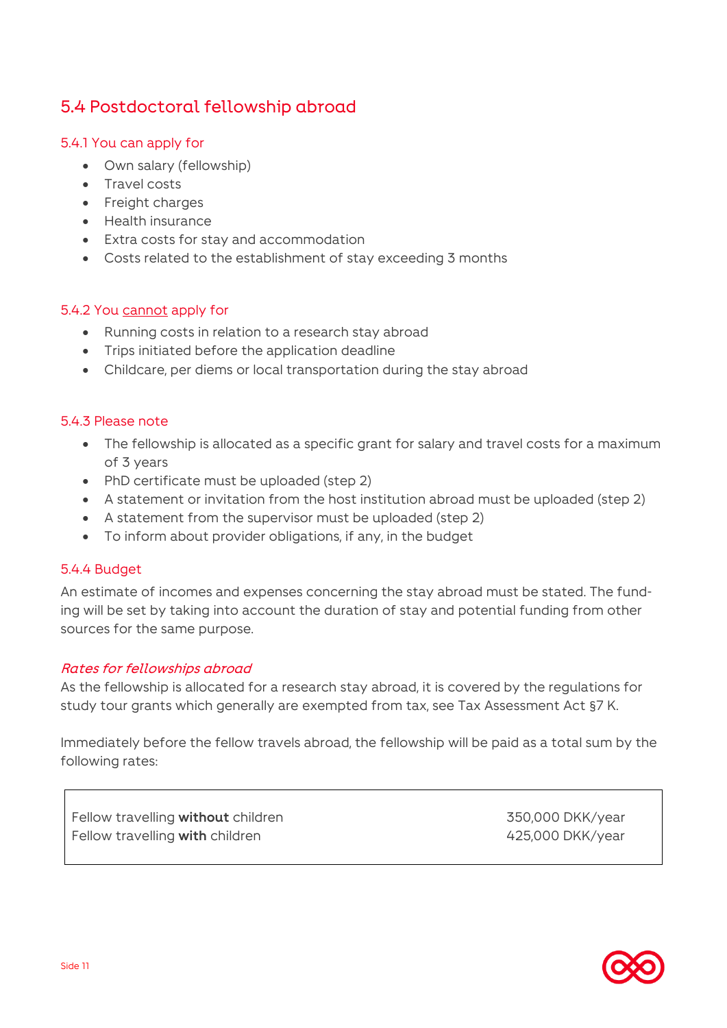### 5.4 Postdoctoral fellowship abroad

### 5.4.1 You can apply for

- Own salary (fellowship)
- Travel costs
- Freight charges
- Health insurance
- Extra costs for stay and accommodation
- Costs related to the establishment of stay exceeding 3 months

#### 5.4.2 You cannot apply for

- Running costs in relation to a research stay abroad
- Trips initiated before the application deadline
- Childcare, per diems or local transportation during the stay abroad

#### 5.4.3 Please note

- The fellowship is allocated as a specific grant for salary and travel costs for a maximum of 3 years
- PhD certificate must be uploaded (step 2)
- A statement or invitation from the host institution abroad must be uploaded (step 2)
- A statement from the supervisor must be uploaded (step 2)
- To inform about provider obligations, if any, in the budget

#### 5.4.4 Budget

An estimate of incomes and expenses concerning the stay abroad must be stated. The funding will be set by taking into account the duration of stay and potential funding from other sources for the same purpose.

#### Rates for fellowships abroad

As the fellowship is allocated for a research stay abroad, it is covered by the regulations for study tour grants which generally are exempted from tax, see Tax Assessment Act §7 K.

Immediately before the fellow travels abroad, the fellowship will be paid as a total sum by the following rates:

Fellow travelling **without** children 350,000 DKK/year Fellow travelling **with** children **Accord 2000 CKK/year** 425,000 DKK/year

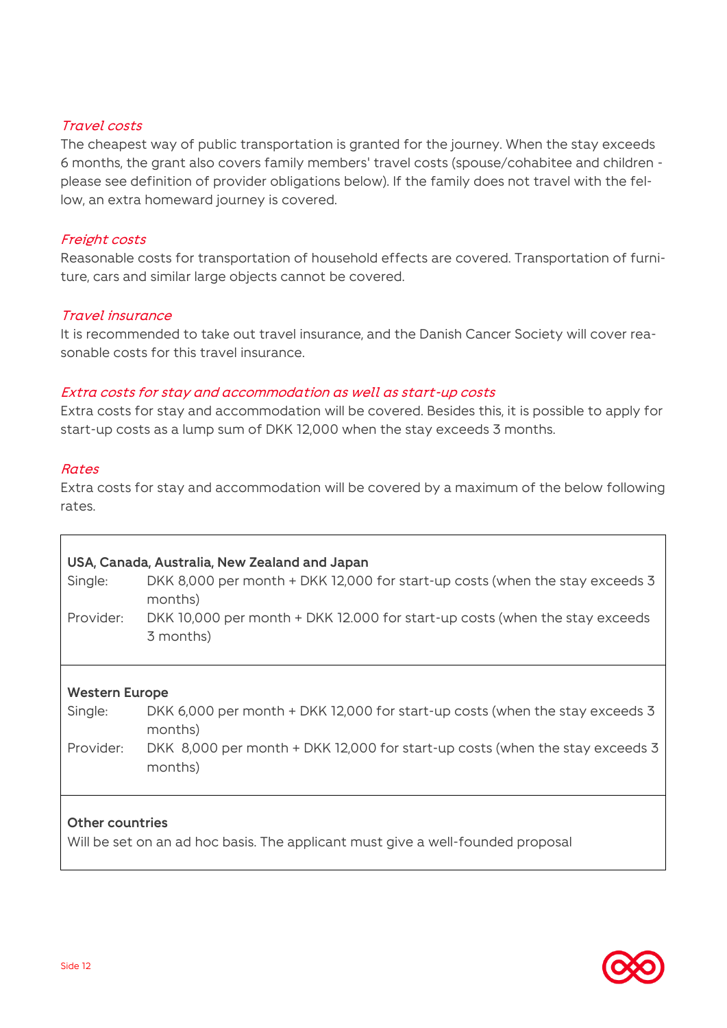### Travel costs

The cheapest way of public transportation is granted for the journey. When the stay exceeds 6 months, the grant also covers family members' travel costs (spouse/cohabitee and children please see definition of provider obligations below). If the family does not travel with the fellow, an extra homeward journey is covered.

#### Freight costs

Reasonable costs for transportation of household effects are covered. Transportation of furniture, cars and similar large objects cannot be covered.

### Travel insurance

It is recommended to take out travel insurance, and the Danish Cancer Society will cover reasonable costs for this travel insurance.

### Extra costs for stay and accommodation as well as start-up costs

Extra costs for stay and accommodation will be covered. Besides this, it is possible to apply for start-up costs as a lump sum of DKK 12,000 when the stay exceeds 3 months.

#### Rates

Extra costs for stay and accommodation will be covered by a maximum of the below following rates.

| Single:                                                                                                   | USA, Canada, Australia, New Zealand and Japan<br>DKK 8,000 per month + DKK 12,000 for start-up costs (when the stay exceeds 3<br>months) |  |
|-----------------------------------------------------------------------------------------------------------|------------------------------------------------------------------------------------------------------------------------------------------|--|
| Provider:                                                                                                 | DKK 10,000 per month + DKK 12.000 for start-up costs (when the stay exceeds<br>3 months)                                                 |  |
|                                                                                                           |                                                                                                                                          |  |
| <b>Western Europe</b><br>Single:                                                                          | DKK 6,000 per month + DKK 12,000 for start-up costs (when the stay exceeds 3<br>months)                                                  |  |
| Provider:                                                                                                 | DKK 8,000 per month + DKK 12,000 for start-up costs (when the stay exceeds 3<br>months)                                                  |  |
| <b>Other countries</b><br>Will be set on an ad hoc basis. The applicant must give a well-founded proposal |                                                                                                                                          |  |

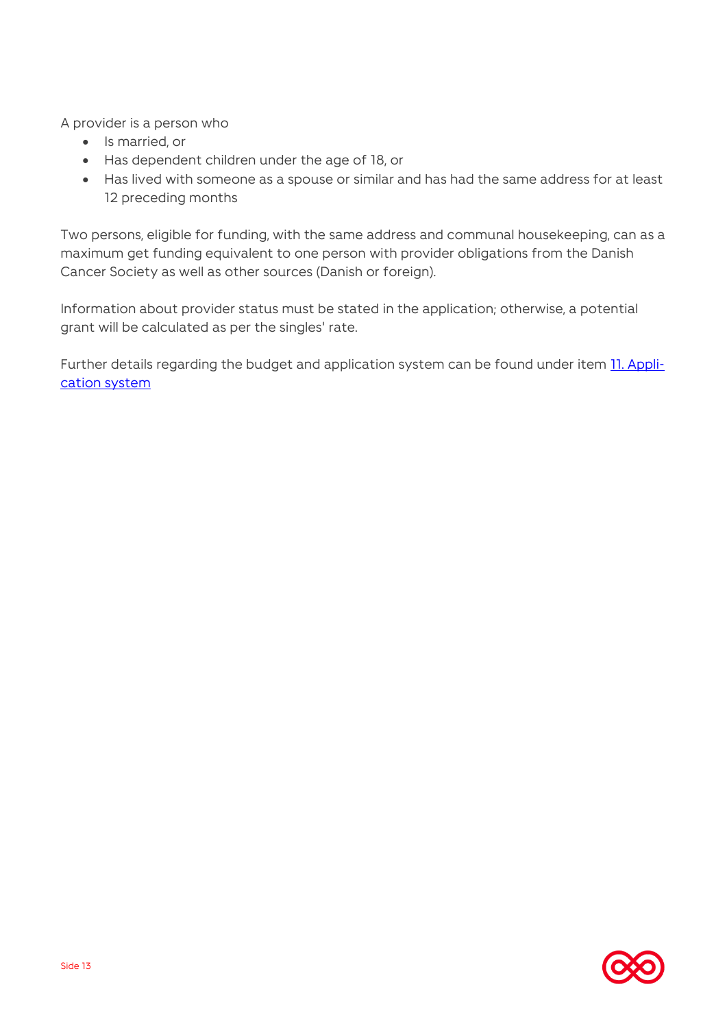A provider is a person who

- Is married, or
- Has dependent children under the age of 18, or
- Has lived with someone as a spouse or similar and has had the same address for at least 12 preceding months

Two persons, eligible for funding, with the same address and communal housekeeping, can as a maximum get funding equivalent to one person with provider obligations from the Danish Cancer Society as well as other sources (Danish or foreign).

Information about provider status must be stated in the application; otherwise, a potential grant will be calculated as per the singles' rate.

Further details regarding the budget and application system can be found under item **11. Appli**[cation system](#page-25-0)

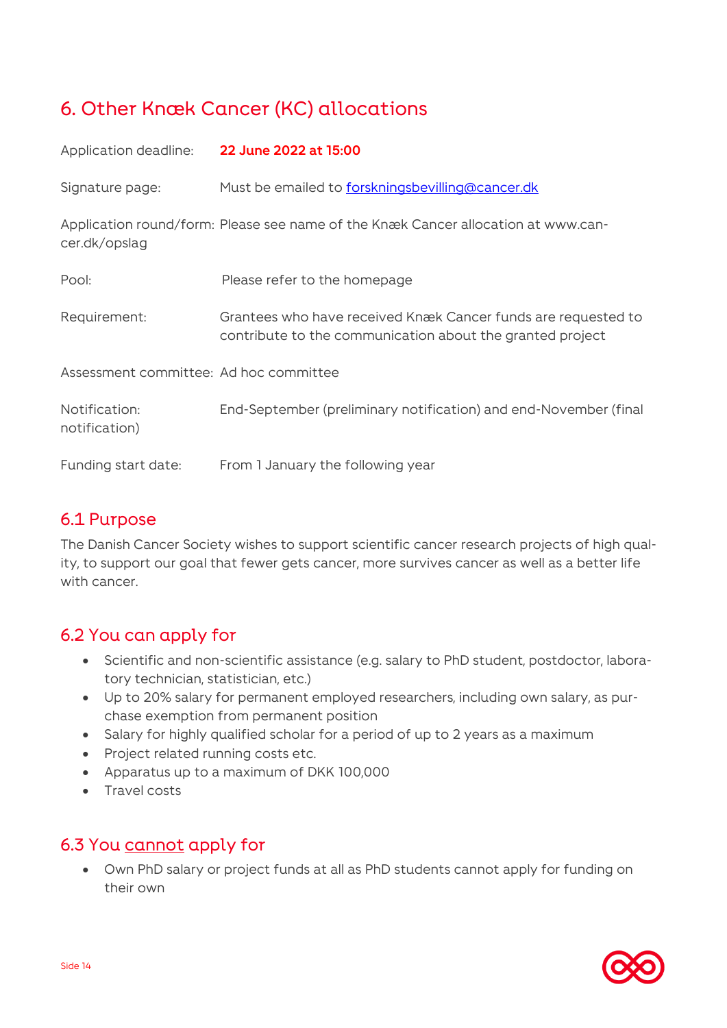# <span id="page-13-0"></span>6. Other Knæk Cancer (KC) allocations

| Application deadline:                  | 22 June 2022 at 15:00                                                                                                      |
|----------------------------------------|----------------------------------------------------------------------------------------------------------------------------|
| Signature page:                        | Must be emailed to forskningsbevilling@cancer.dk                                                                           |
| cer.dk/opslag                          | Application round/form: Please see name of the Knæk Cancer allocation at www.can-                                          |
| Pool:                                  | Please refer to the homepage                                                                                               |
| Requirement:                           | Grantees who have received Knæk Cancer funds are requested to<br>contribute to the communication about the granted project |
| Assessment committee: Ad hoc committee |                                                                                                                            |
| Notification:<br>notification)         | End-September (preliminary notification) and end-November (final                                                           |
| Funding start date:                    | From 1 January the following year                                                                                          |

### 6.1 Purpose

The Danish Cancer Society wishes to support scientific cancer research projects of high quality, to support our goal that fewer gets cancer, more survives cancer as well as a better life with cancer.

### 6.2 You can apply for

- Scientific and non-scientific assistance (e.g. salary to PhD student, postdoctor, laboratory technician, statistician, etc.)
- Up to 20% salary for permanent employed researchers, including own salary, as purchase exemption from permanent position
- Salary for highly qualified scholar for a period of up to 2 years as a maximum
- Project related running costs etc.
- Apparatus up to a maximum of DKK 100,000
- Travel costs

### 6.3 You cannot apply for

 Own PhD salary or project funds at all as PhD students cannot apply for funding on their own

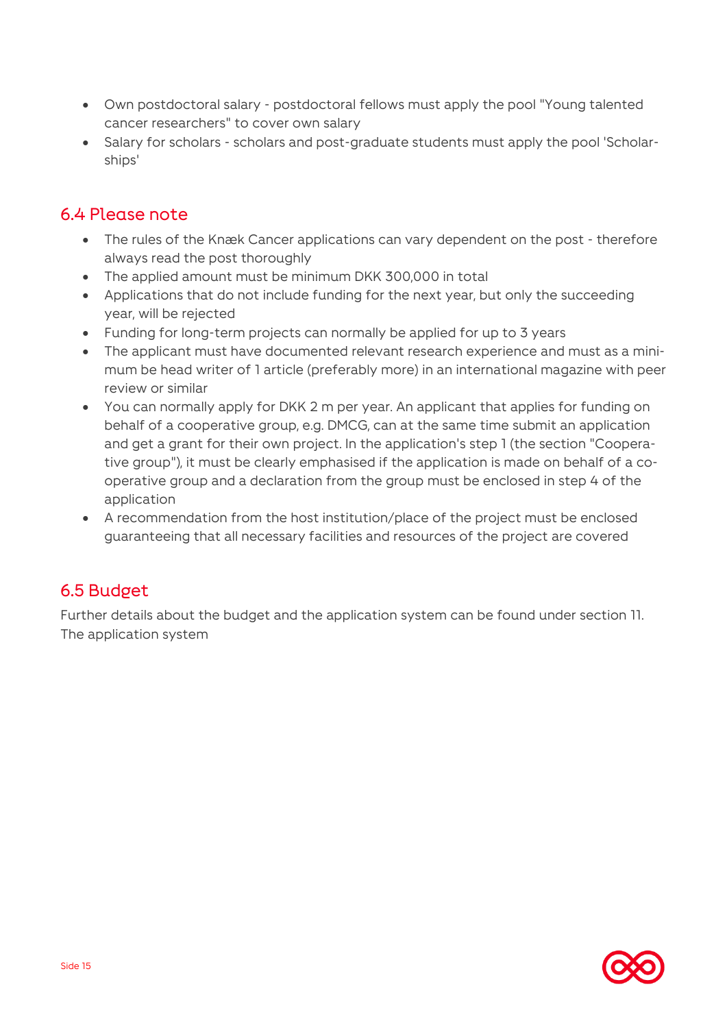- Own postdoctoral salary postdoctoral fellows must apply the pool "Young talented cancer researchers" to cover own salary
- Salary for scholars scholars and post-graduate students must apply the pool 'Scholarships'

### 6.4 Please note

- The rules of the Knæk Cancer applications can vary dependent on the post therefore always read the post thoroughly
- The applied amount must be minimum DKK 300,000 in total
- Applications that do not include funding for the next year, but only the succeeding year, will be rejected
- Funding for long-term projects can normally be applied for up to 3 years
- The applicant must have documented relevant research experience and must as a minimum be head writer of 1 article (preferably more) in an international magazine with peer review or similar
- You can normally apply for DKK 2 m per year. An applicant that applies for funding on behalf of a cooperative group, e.g. DMCG, can at the same time submit an application and get a grant for their own project. In the application's step 1 (the section "Cooperative group"), it must be clearly emphasised if the application is made on behalf of a cooperative group and a declaration from the group must be enclosed in step 4 of the application
- A recommendation from the host institution/place of the project must be enclosed guaranteeing that all necessary facilities and resources of the project are covered

### 6.5 Budget

Further details about the budget and the application system can be found under section 11. The application system

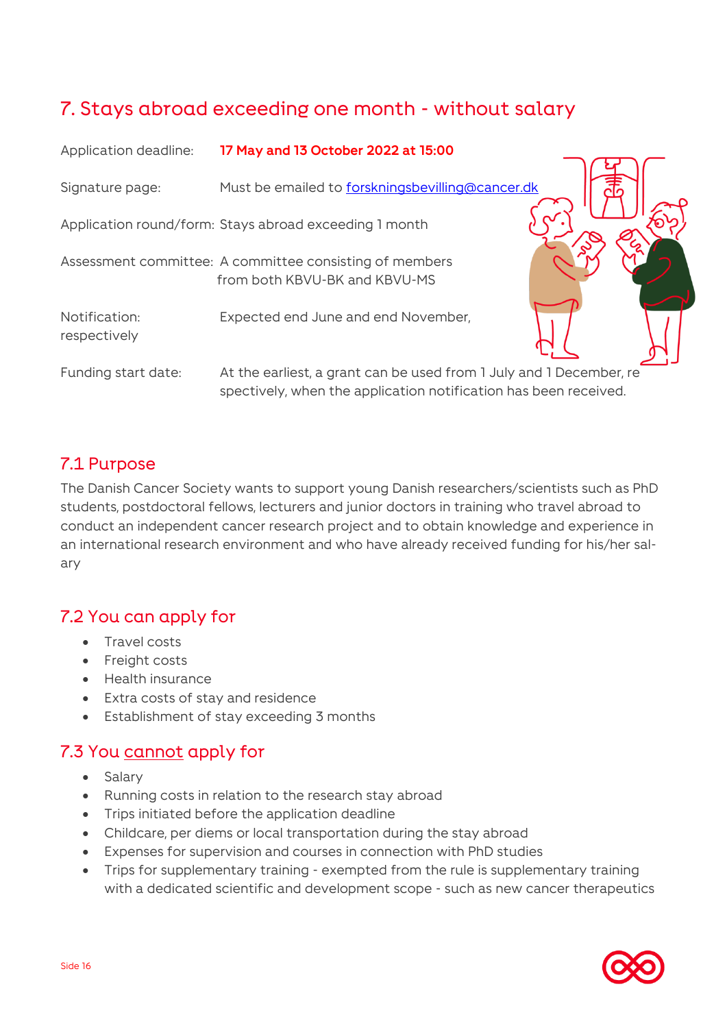# <span id="page-15-0"></span>7. Stays abroad exceeding one month - without salary

| Application deadline:         | 17 May and 13 October 2022 at 15:00                                                                                                     |  |
|-------------------------------|-----------------------------------------------------------------------------------------------------------------------------------------|--|
| Signature page:               | Must be emailed to forskningsbevilling@cancer.dk                                                                                        |  |
|                               | Application round/form: Stays abroad exceeding 1 month                                                                                  |  |
|                               | Assessment committee: A committee consisting of members<br>from both KBVU-BK and KBVU-MS                                                |  |
| Notification:<br>respectively | Expected end June and end November,                                                                                                     |  |
| Funding start date:           | At the earliest, a grant can be used from 1 July and 1 December, re<br>spectively, when the application notification has been received. |  |

### 7.1 Purpose

The Danish Cancer Society wants to support young Danish researchers/scientists such as PhD students, postdoctoral fellows, lecturers and junior doctors in training who travel abroad to conduct an independent cancer research project and to obtain knowledge and experience in an international research environment and who have already received funding for his/her salary

### 7.2 You can apply for

- Travel costs
- Freight costs
- Health insurance
- Extra costs of stay and residence
- Establishment of stay exceeding 3 months

### 7.3 You cannot apply for

- Salary
- Running costs in relation to the research stay abroad
- Trips initiated before the application deadline
- Childcare, per diems or local transportation during the stay abroad
- Expenses for supervision and courses in connection with PhD studies
- Trips for supplementary training exempted from the rule is supplementary training with a dedicated scientific and development scope - such as new cancer therapeutics

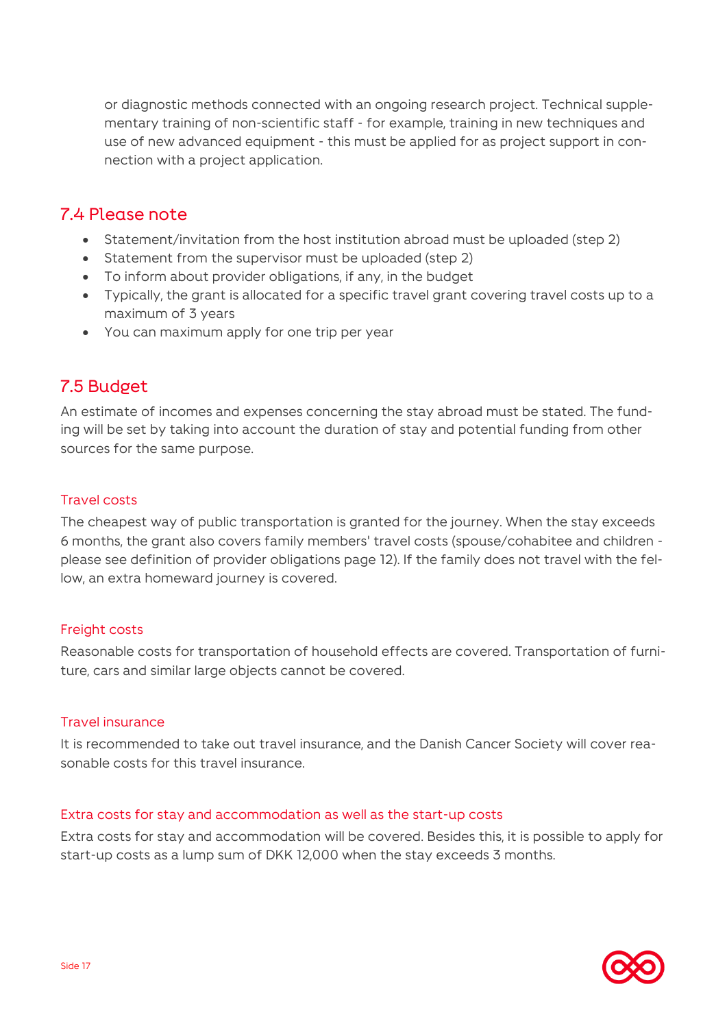or diagnostic methods connected with an ongoing research project. Technical supplementary training of non-scientific staff - for example, training in new techniques and use of new advanced equipment - this must be applied for as project support in connection with a project application.

### 7.4 Please note

- Statement/invitation from the host institution abroad must be uploaded (step 2)
- Statement from the supervisor must be uploaded (step 2)
- To inform about provider obligations, if any, in the budget
- Typically, the grant is allocated for a specific travel grant covering travel costs up to a maximum of 3 years
- You can maximum apply for one trip per year

### 7.5 Budget

An estimate of incomes and expenses concerning the stay abroad must be stated. The funding will be set by taking into account the duration of stay and potential funding from other sources for the same purpose.

### Travel costs

The cheapest way of public transportation is granted for the journey. When the stay exceeds 6 months, the grant also covers family members' travel costs (spouse/cohabitee and children please see definition of provider obligations page 12). If the family does not travel with the fellow, an extra homeward journey is covered.

### Freight costs

Reasonable costs for transportation of household effects are covered. Transportation of furniture, cars and similar large objects cannot be covered.

#### Travel insurance

It is recommended to take out travel insurance, and the Danish Cancer Society will cover reasonable costs for this travel insurance.

#### Extra costs for stay and accommodation as well as the start-up costs

Extra costs for stay and accommodation will be covered. Besides this, it is possible to apply for start-up costs as a lump sum of DKK 12,000 when the stay exceeds 3 months.

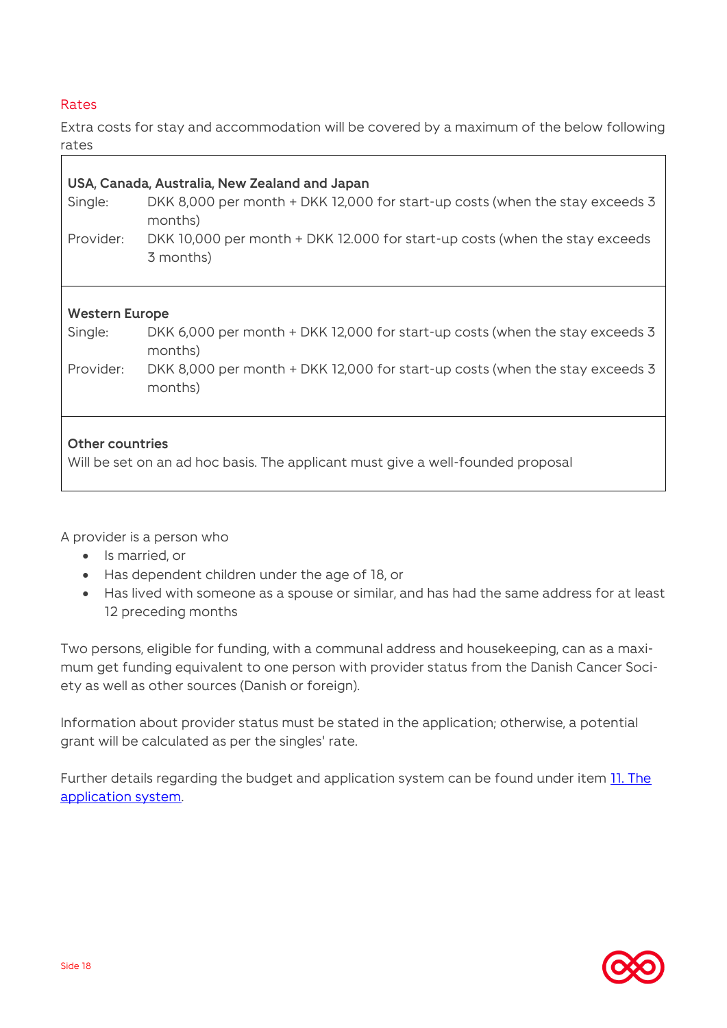### Rates

Г

Extra costs for stay and accommodation will be covered by a maximum of the below following rates

| USA, Canada, Australia, New Zealand and Japan                                                             |                                                                                          |  |
|-----------------------------------------------------------------------------------------------------------|------------------------------------------------------------------------------------------|--|
| Single:                                                                                                   | DKK 8,000 per month + DKK 12,000 for start-up costs (when the stay exceeds 3<br>months)  |  |
| Provider:                                                                                                 | DKK 10,000 per month + DKK 12.000 for start-up costs (when the stay exceeds<br>3 months) |  |
| <b>Western Europe</b>                                                                                     |                                                                                          |  |
| Single:                                                                                                   | DKK 6,000 per month + DKK 12,000 for start-up costs (when the stay exceeds 3             |  |
|                                                                                                           | months)                                                                                  |  |
| Provider:                                                                                                 | DKK 8,000 per month + DKK 12,000 for start-up costs (when the stay exceeds 3<br>months)  |  |
| <b>Other countries</b><br>Will be set on an ad hoc basis. The applicant must give a well-founded proposal |                                                                                          |  |
|                                                                                                           |                                                                                          |  |

A provider is a person who

- Is married, or
- Has dependent children under the age of 18, or
- Has lived with someone as a spouse or similar, and has had the same address for at least 12 preceding months

Two persons, eligible for funding, with a communal address and housekeeping, can as a maximum get funding equivalent to one person with provider status from the Danish Cancer Society as well as other sources (Danish or foreign).

Information about provider status must be stated in the application; otherwise, a potential grant will be calculated as per the singles' rate.

Further details regarding the budget and application system can be found under item **11. The** [application system.](#page-25-0)

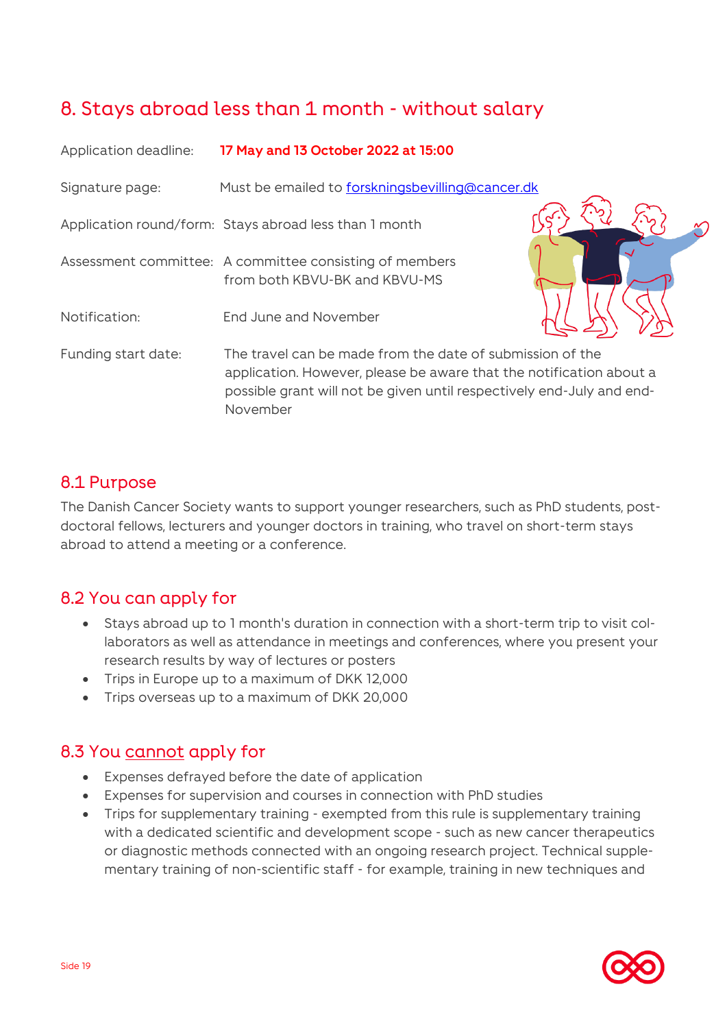# <span id="page-18-0"></span>8. Stays abroad less than 1 month - without salary

| Application deadline: | 17 May and 13 October 2022 at 15:00                                                                                                                                                                                   |  |
|-----------------------|-----------------------------------------------------------------------------------------------------------------------------------------------------------------------------------------------------------------------|--|
| Signature page:       | Must be emailed to forskningsbevilling@cancer.dk                                                                                                                                                                      |  |
|                       | Application round/form: Stays abroad less than 1 month                                                                                                                                                                |  |
|                       | Assessment committee: A committee consisting of members<br>from both KBVU-BK and KBVU-MS                                                                                                                              |  |
| Notification:         | End June and November                                                                                                                                                                                                 |  |
| Funding start date:   | The travel can be made from the date of submission of the<br>application. However, please be aware that the notification about a<br>possible grant will not be given until respectively end-July and end-<br>November |  |

### 8.1 Purpose

The Danish Cancer Society wants to support younger researchers, such as PhD students, postdoctoral fellows, lecturers and younger doctors in training, who travel on short-term stays abroad to attend a meeting or a conference.

### 8.2 You can apply for

- Stays abroad up to 1 month's duration in connection with a short-term trip to visit collaborators as well as attendance in meetings and conferences, where you present your research results by way of lectures or posters
- Trips in Europe up to a maximum of DKK 12,000
- Trips overseas up to a maximum of DKK 20,000

### 8.3 You cannot apply for

- Expenses defrayed before the date of application
- Expenses for supervision and courses in connection with PhD studies
- Trips for supplementary training exempted from this rule is supplementary training with a dedicated scientific and development scope - such as new cancer therapeutics or diagnostic methods connected with an ongoing research project. Technical supplementary training of non-scientific staff - for example, training in new techniques and

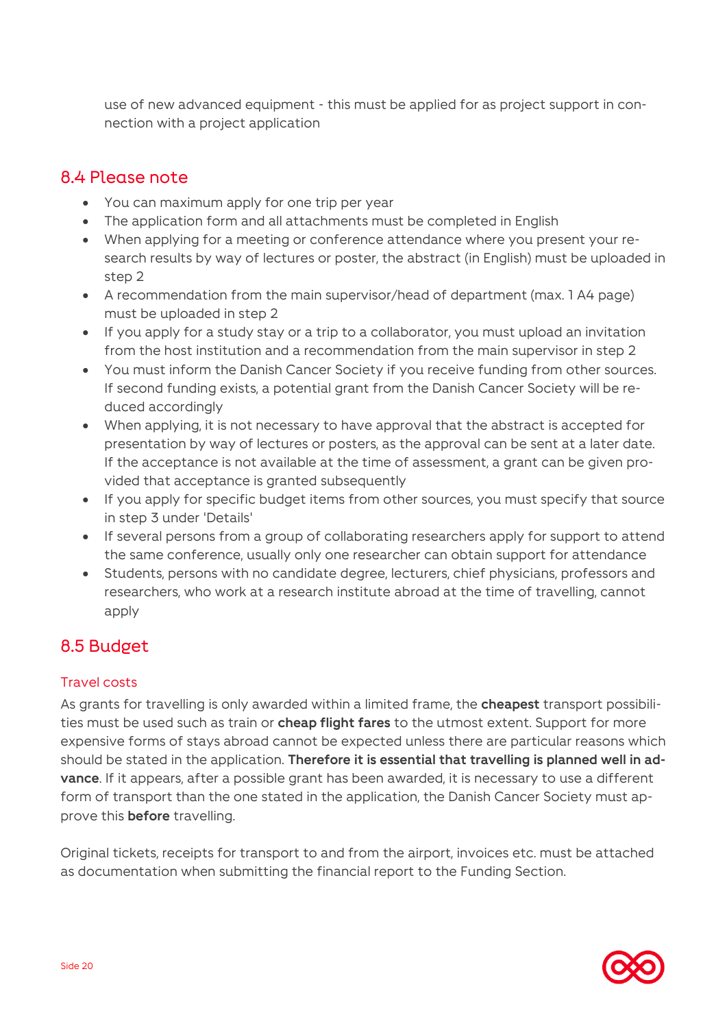use of new advanced equipment - this must be applied for as project support in connection with a project application

### 8.4 Please note

- You can maximum apply for one trip per year
- The application form and all attachments must be completed in English
- When applying for a meeting or conference attendance where you present your research results by way of lectures or poster, the abstract (in English) must be uploaded in step 2
- A recommendation from the main supervisor/head of department (max. 1 A4 page) must be uploaded in step 2
- If you apply for a study stay or a trip to a collaborator, you must upload an invitation from the host institution and a recommendation from the main supervisor in step 2
- You must inform the Danish Cancer Society if you receive funding from other sources. If second funding exists, a potential grant from the Danish Cancer Society will be reduced accordingly
- When applying, it is not necessary to have approval that the abstract is accepted for presentation by way of lectures or posters, as the approval can be sent at a later date. If the acceptance is not available at the time of assessment, a grant can be given provided that acceptance is granted subsequently
- If you apply for specific budget items from other sources, you must specify that source in step 3 under 'Details'
- If several persons from a group of collaborating researchers apply for support to attend the same conference, usually only one researcher can obtain support for attendance
- Students, persons with no candidate degree, lecturers, chief physicians, professors and researchers, who work at a research institute abroad at the time of travelling, cannot apply

### 8.5 Budget

### Travel costs

As grants for travelling is only awarded within a limited frame, the **cheapest** transport possibilities must be used such as train or **cheap flight fares** to the utmost extent. Support for more expensive forms of stays abroad cannot be expected unless there are particular reasons which should be stated in the application. **Therefore it is essential that travelling is planned well in advance**. If it appears, after a possible grant has been awarded, it is necessary to use a different form of transport than the one stated in the application, the Danish Cancer Society must approve this **before** travelling.

Original tickets, receipts for transport to and from the airport, invoices etc. must be attached as documentation when submitting the financial report to the Funding Section.

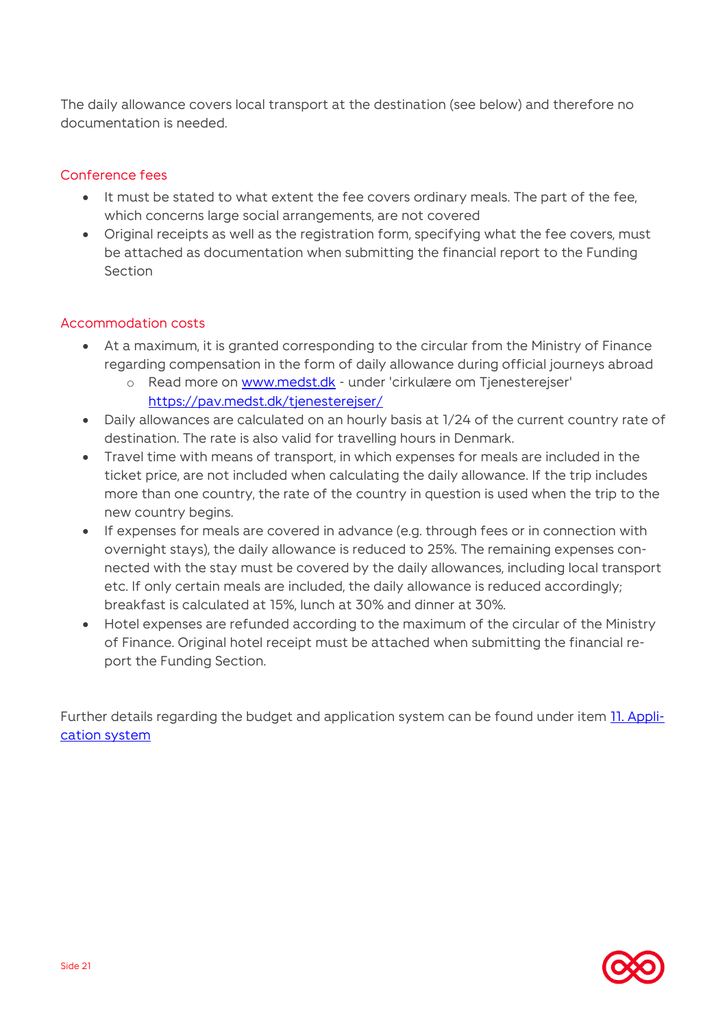The daily allowance covers local transport at the destination (see below) and therefore no documentation is needed.

### Conference fees

- It must be stated to what extent the fee covers ordinary meals. The part of the fee, which concerns large social arrangements, are not covered
- Original receipts as well as the registration form, specifying what the fee covers, must be attached as documentation when submitting the financial report to the Funding Section

### Accommodation costs

- At a maximum, it is granted corresponding to the circular from the Ministry of Finance regarding compensation in the form of daily allowance during official journeys abroad
	- o Read more on [www.medst.dk](http://www.medst.dk/) under 'cirkulære om Tjenesterejser' <https://pav.medst.dk/tjenesterejser/>
- Daily allowances are calculated on an hourly basis at 1/24 of the current country rate of destination. The rate is also valid for travelling hours in Denmark.
- Travel time with means of transport, in which expenses for meals are included in the ticket price, are not included when calculating the daily allowance. If the trip includes more than one country, the rate of the country in question is used when the trip to the new country begins.
- If expenses for meals are covered in advance (e.g. through fees or in connection with overnight stays), the daily allowance is reduced to 25%. The remaining expenses connected with the stay must be covered by the daily allowances, including local transport etc. If only certain meals are included, the daily allowance is reduced accordingly; breakfast is calculated at 15%, lunch at 30% and dinner at 30%.
- Hotel expenses are refunded according to the maximum of the circular of the Ministry of Finance. Original hotel receipt must be attached when submitting the financial report the Funding Section.

Further details regarding the budget and application system can be found under item [11. Appli](#page-25-0)[cation system](#page-25-0)

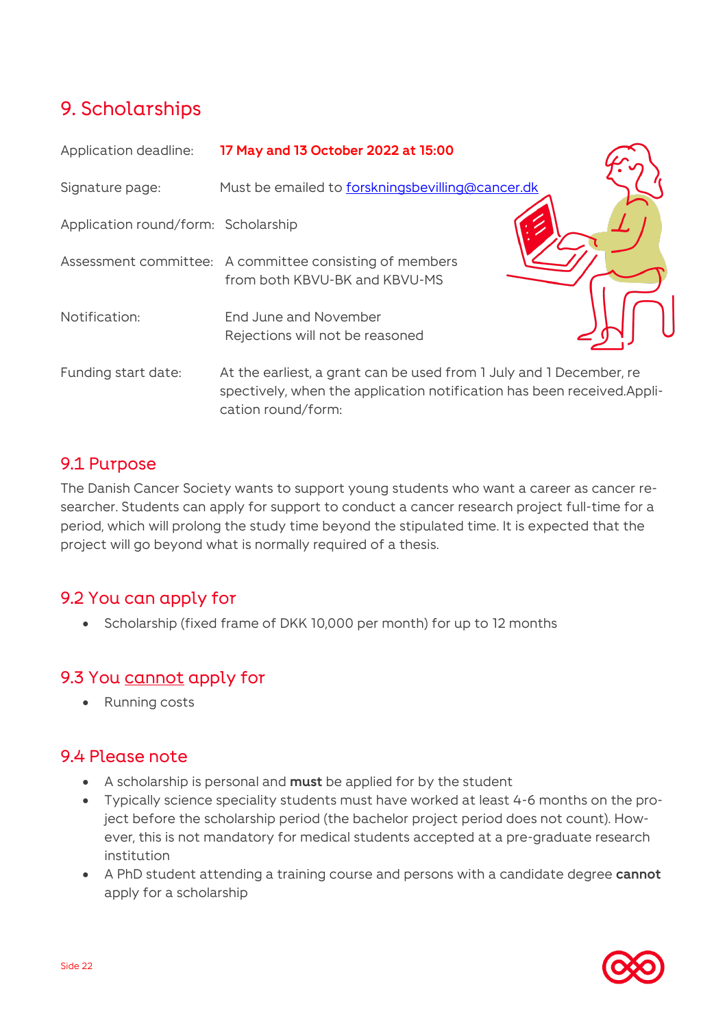# <span id="page-21-0"></span>9. Scholarships

| Application deadline:               | 17 May and 13 October 2022 at 15:00                                                                                                                                 |  |
|-------------------------------------|---------------------------------------------------------------------------------------------------------------------------------------------------------------------|--|
| Signature page:                     | Must be emailed to forskningsbevilling@cancer.dk                                                                                                                    |  |
| Application round/form: Scholarship |                                                                                                                                                                     |  |
|                                     | Assessment committee: A committee consisting of members<br>from both KBVU-BK and KBVU-MS                                                                            |  |
| Notification:                       | End June and November<br>Rejections will not be reasoned                                                                                                            |  |
| Funding start date:                 | At the earliest, a grant can be used from 1 July and 1 December, re<br>spectively, when the application notification has been received.Appli-<br>cation round/form: |  |

### 9.1 Purpose

The Danish Cancer Society wants to support young students who want a career as cancer researcher. Students can apply for support to conduct a cancer research project full-time for a period, which will prolong the study time beyond the stipulated time. It is expected that the project will go beyond what is normally required of a thesis.

### 9.2 You can apply for

• Scholarship (fixed frame of DKK 10,000 per month) for up to 12 months

### 9.3 You cannot apply for

• Running costs

### 9.4 Please note

- A scholarship is personal and **must** be applied for by the student
- Typically science speciality students must have worked at least 4-6 months on the project before the scholarship period (the bachelor project period does not count). However, this is not mandatory for medical students accepted at a pre-graduate research institution
- A PhD student attending a training course and persons with a candidate degree **cannot** apply for a scholarship

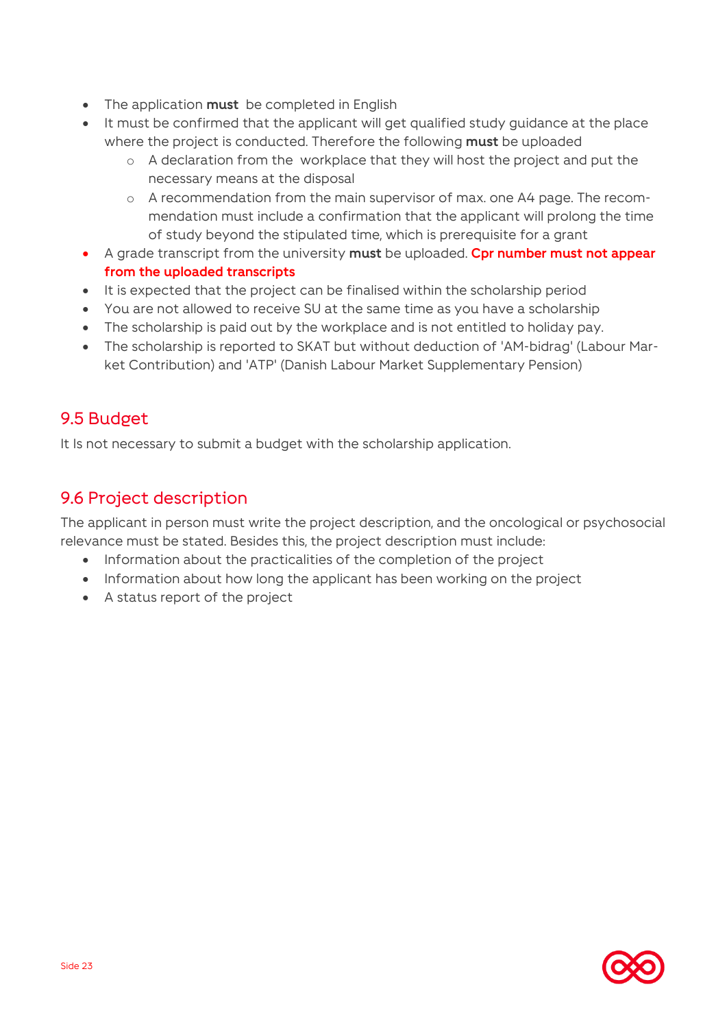- The application **must** be completed in English
- It must be confirmed that the applicant will get qualified study guidance at the place where the project is conducted. Therefore the following **must** be uploaded
	- o A declaration from the workplace that they will host the project and put the necessary means at the disposal
	- o A recommendation from the main supervisor of max. one A4 page. The recommendation must include a confirmation that the applicant will prolong the time of study beyond the stipulated time, which is prerequisite for a grant
- A grade transcript from the university **must** be uploaded. **Cpr number must not appear from the uploaded transcripts**
- It is expected that the project can be finalised within the scholarship period
- You are not allowed to receive SU at the same time as you have a scholarship
- The scholarship is paid out by the workplace and is not entitled to holiday pay.
- The scholarship is reported to SKAT but without deduction of 'AM-bidrag' (Labour Market Contribution) and 'ATP' (Danish Labour Market Supplementary Pension)

### 9.5 Budget

It Is not necessary to submit a budget with the scholarship application.

### 9.6 Project description

The applicant in person must write the project description, and the oncological or psychosocial relevance must be stated. Besides this, the project description must include:

- Information about the practicalities of the completion of the project
- Information about how long the applicant has been working on the project
- A status report of the project

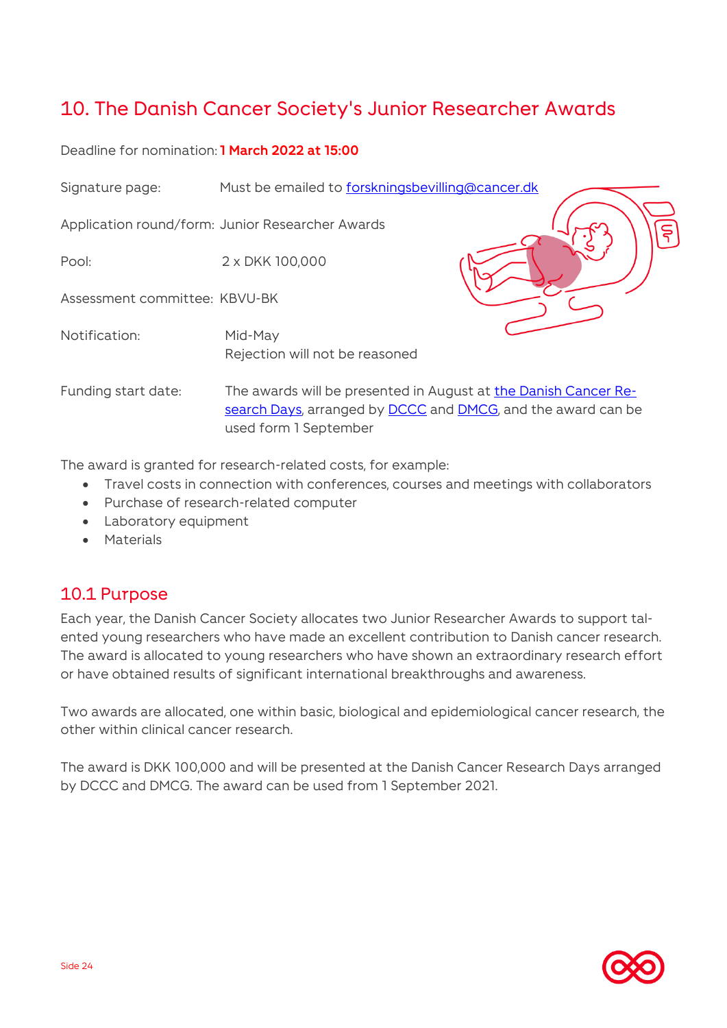# <span id="page-23-0"></span>10. The Danish Cancer Society's Junior Researcher Awards

### Deadline for nomination: **1 March 2022 at 15:00**



The award is granted for research-related costs, for example:

- Travel costs in connection with conferences, courses and meetings with collaborators
- Purchase of research-related computer
- Laboratory equipment
- Materials

### 10.1 Purpose

Each year, the Danish Cancer Society allocates two Junior Researcher Awards to support talented young researchers who have made an excellent contribution to Danish cancer research. The award is allocated to young researchers who have shown an extraordinary research effort or have obtained results of significant international breakthroughs and awareness.

Two awards are allocated, one within basic, biological and epidemiological cancer research, the other within clinical cancer research.

The award is DKK 100,000 and will be presented at the Danish Cancer Research Days arranged by DCCC and DMCG. The award can be used from 1 September 2021.

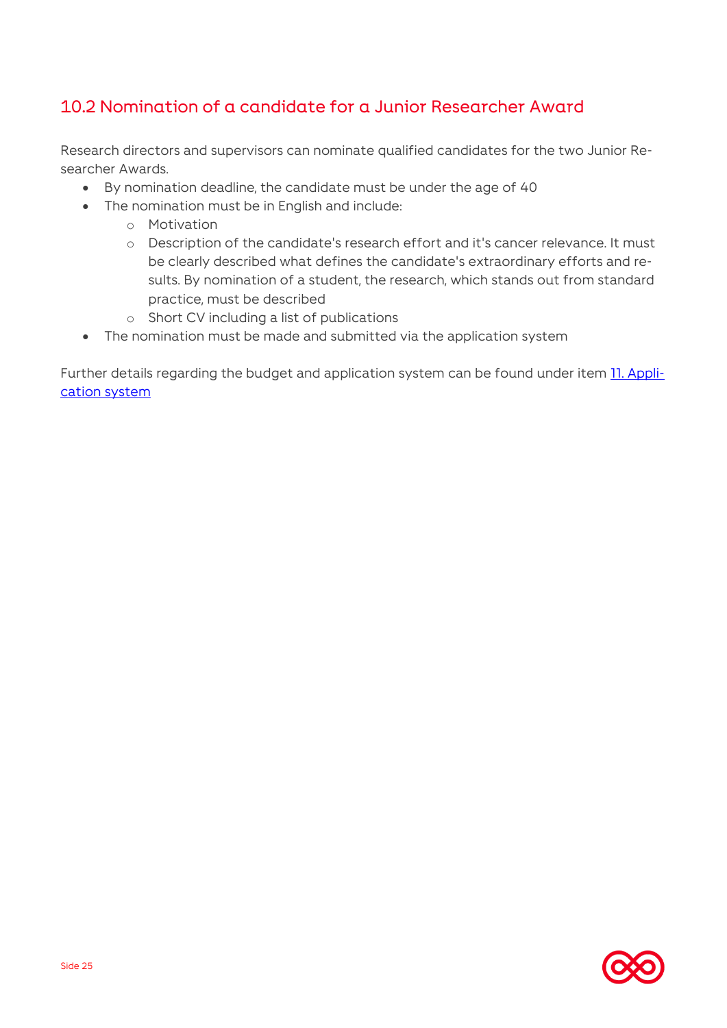### 10.2 Nomination of a candidate for a Junior Researcher Award

Research directors and supervisors can nominate qualified candidates for the two Junior Researcher Awards.

- By nomination deadline, the candidate must be under the age of 40
- The nomination must be in English and include:
	- o Motivation
	- o Description of the candidate's research effort and it's cancer relevance. It must be clearly described what defines the candidate's extraordinary efforts and results. By nomination of a student, the research, which stands out from standard practice, must be described
	- o Short CV including a list of publications
- The nomination must be made and submitted via the application system

Further details regarding the budget and application system can be found under item **11. Appli**[cation system](#page-25-0)

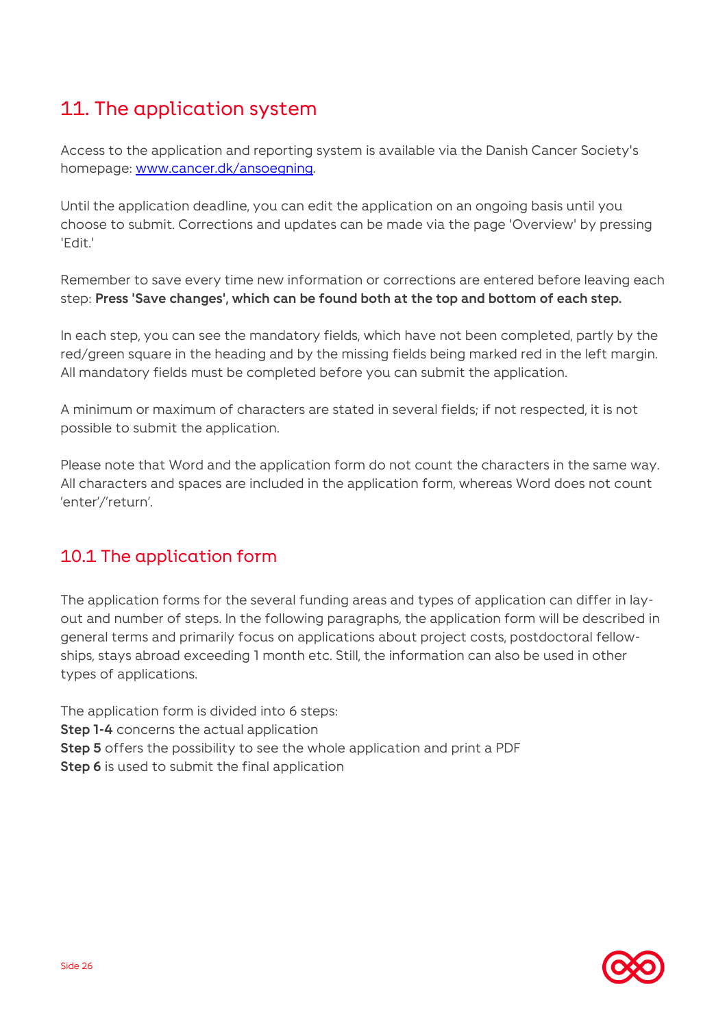# <span id="page-25-0"></span>11. The application system

Access to the application and reporting system is available via the Danish Cancer Society's homepage: [www.cancer.dk/ansoegning.](http://www.cancer.dk/ansoegning)

Until the application deadline, you can edit the application on an ongoing basis until you choose to submit. Corrections and updates can be made via the page 'Overview' by pressing 'Edit.'

Remember to save every time new information or corrections are entered before leaving each step: **Press 'Save changes', which can be found both at the top and bottom of each step.**

In each step, you can see the mandatory fields, which have not been completed, partly by the red/green square in the heading and by the missing fields being marked red in the left margin. All mandatory fields must be completed before you can submit the application.

A minimum or maximum of characters are stated in several fields; if not respected, it is not possible to submit the application.

Please note that Word and the application form do not count the characters in the same way. All characters and spaces are included in the application form, whereas Word does not count 'enter'/'return'.

### 10.1 The application form

The application forms for the several funding areas and types of application can differ in layout and number of steps. In the following paragraphs, the application form will be described in general terms and primarily focus on applications about project costs, postdoctoral fellowships, stays abroad exceeding 1 month etc. Still, the information can also be used in other types of applications.

The application form is divided into 6 steps: **Step 1-4** concerns the actual application **Step 5** offers the possibility to see the whole application and print a PDF **Step 6** is used to submit the final application

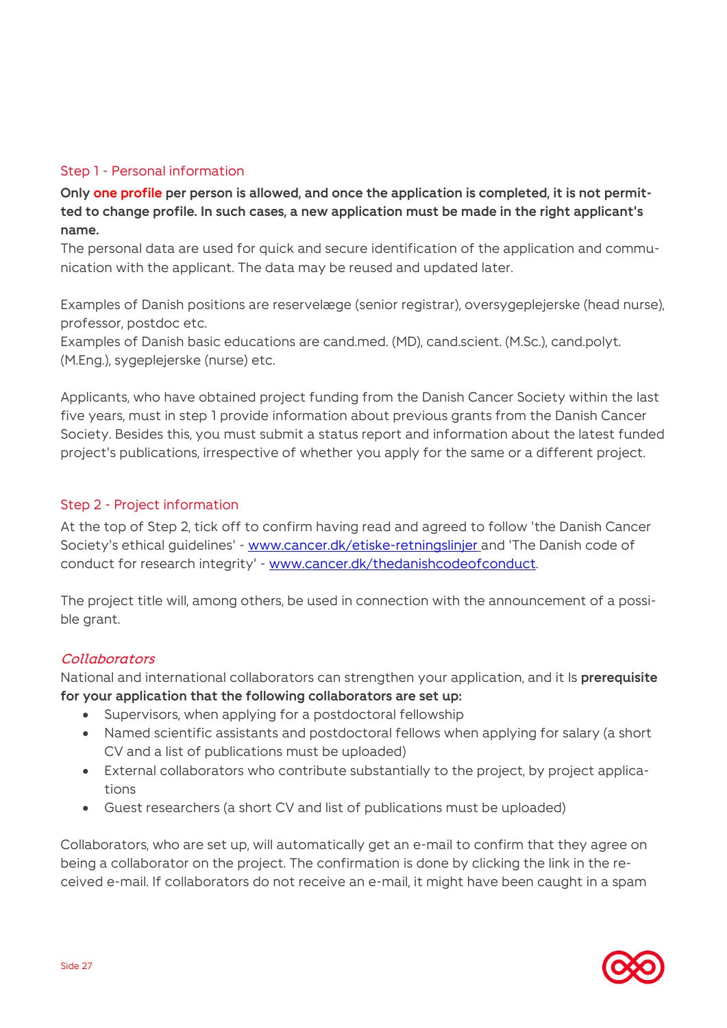### Step 1 - Personal information

**Only one profile per person is allowed, and once the application is completed, it is not permitted to change profile. In such cases, a new application must be made in the right applicant's name.**

The personal data are used for quick and secure identification of the application and communication with the applicant. The data may be reused and updated later.

Examples of Danish positions are reservelæge (senior registrar), oversygeplejerske (head nurse), professor, postdoc etc.

Examples of Danish basic educations are cand.med. (MD), cand.scient. (M.Sc.), cand.polyt. (M.Eng.), sygeplejerske (nurse) etc.

Applicants, who have obtained project funding from the Danish Cancer Society within the last five years, must in step 1 provide information about previous grants from the Danish Cancer Society. Besides this, you must submit a status report and information about the latest funded project's publications, irrespective of whether you apply for the same or a different project.

#### Step 2 - Project information

At the top of Step 2, tick off to confirm having read and agreed to follow 'the Danish Cancer Society's ethical guidelines' - [www.cancer.dk/etiske-retningslinjer](http://www.cancer.dk/etiske-retningslinjer) and 'The Danish code of conduct for research integrity' - [www.cancer.dk/thedanishcodeofconduct.](http://www.cancer.dk/thedanishcodeofconduct)

The project title will, among others, be used in connection with the announcement of a possible grant.

#### **Collaborators**

National and international collaborators can strengthen your application, and it Is **prerequisite for your application that the following collaborators are set up:**

- Supervisors, when applying for a postdoctoral fellowship
- Named scientific assistants and postdoctoral fellows when applying for salary (a short CV and a list of publications must be uploaded)
- External collaborators who contribute substantially to the project, by project applications
- Guest researchers (a short CV and list of publications must be uploaded)

Collaborators, who are set up, will automatically get an e-mail to confirm that they agree on being a collaborator on the project. The confirmation is done by clicking the link in the received e-mail. If collaborators do not receive an e-mail, it might have been caught in a spam

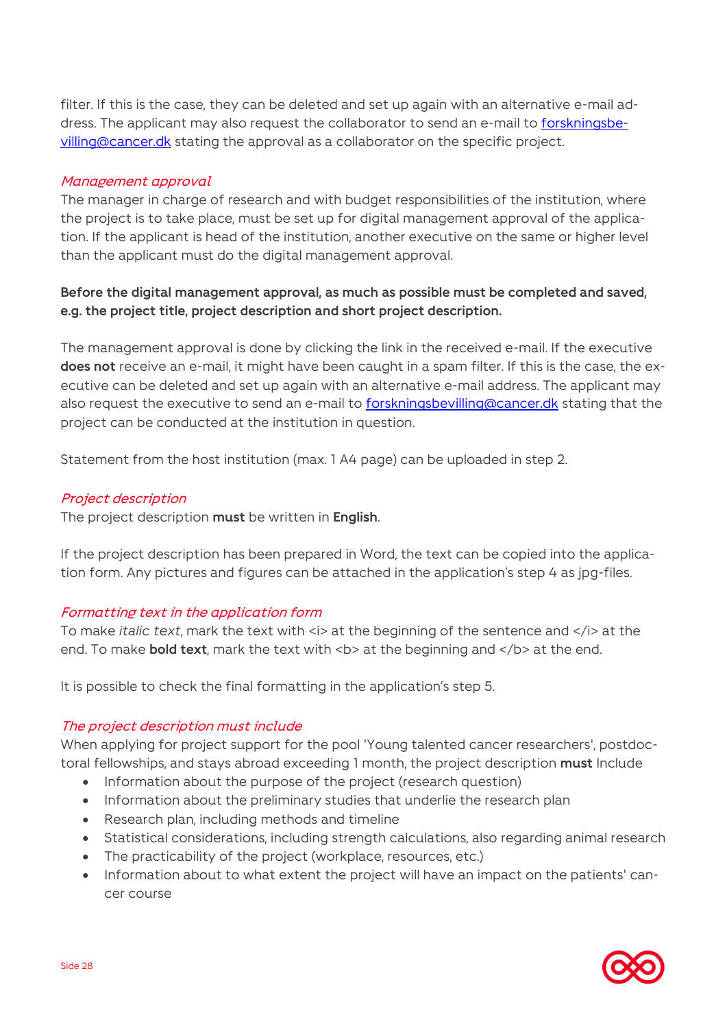filter. If this is the case, they can be deleted and set up again with an alternative e-mail address. The applicant may also request the collaborator to send an e-mail to [forskningsbe](mailto:forskningsbevilling@cancer.dk)[villing@cancer.dk](mailto:forskningsbevilling@cancer.dk) stating the approval as a collaborator on the specific project.

#### Management approval

The manager in charge of research and with budget responsibilities of the institution, where the project is to take place, must be set up for digital management approval of the application. If the applicant is head of the institution, another executive on the same or higher level than the applicant must do the digital management approval.

### **Before the digital management approval, as much as possible must be completed and saved, e.g. the project title, project description and short project description.**

The management approval is done by clicking the link in the received e-mail. If the executive **does not** receive an e-mail, it might have been caught in a spam filter. If this is the case, the executive can be deleted and set up again with an alternative e-mail address. The applicant may also request the executive to send an e-mail to [forskningsbevilling@cancer.dk](mailto:forskningsbevilling@cancer.dk) stating that the project can be conducted at the institution in question.

Statement from the host institution (max. 1 A4 page) can be uploaded in step 2.

#### Project description

The project description **must** be written in **English**.

If the project description has been prepared in Word, the text can be copied into the application form. Any pictures and figures can be attached in the application's step 4 as jpg-files.

### Formatting text in the application form

To make *italic text*, mark the text with  $\le$  > at the beginning of the sentence and  $\le$  /i> at the end. To make **bold text**, mark the text with <br >> at the beginning and </b> at the end.

It is possible to check the final formatting in the application's step 5.

### The project description must include

When applying for project support for the pool 'Young talented cancer researchers', postdoctoral fellowships, and stays abroad exceeding 1 month, the project description **must** Include

- Information about the purpose of the project (research question)
- Information about the preliminary studies that underlie the research plan
- Research plan, including methods and timeline
- Statistical considerations, including strength calculations, also regarding animal research
- The practicability of the project (workplace, resources, etc.)
- Information about to what extent the project will have an impact on the patients' cancer course

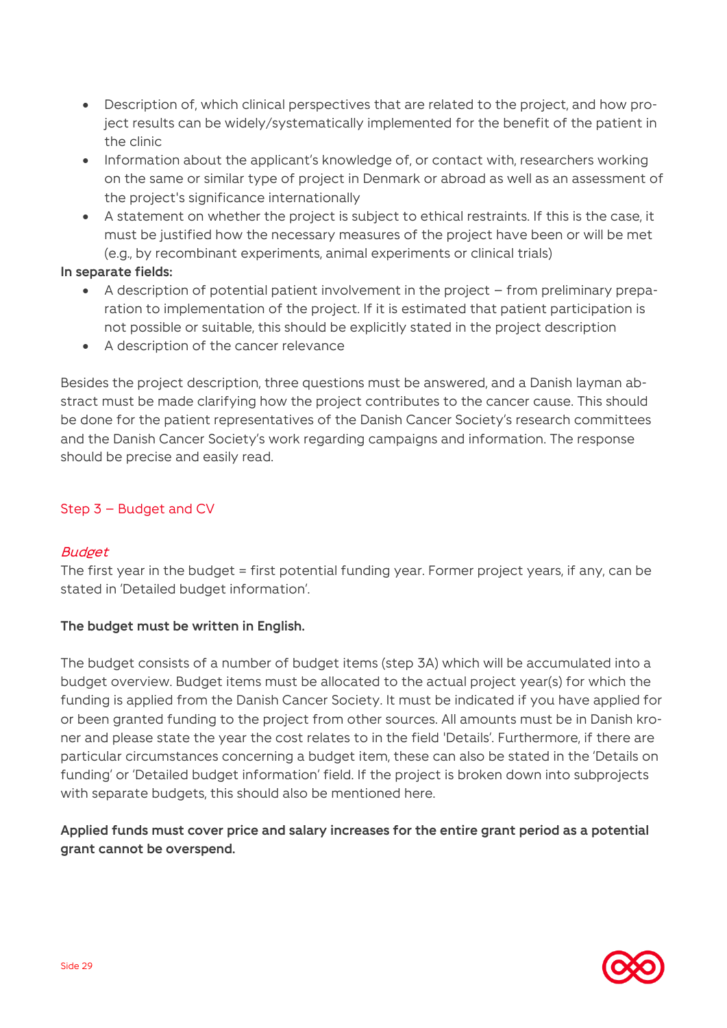- Description of, which clinical perspectives that are related to the project, and how project results can be widely/systematically implemented for the benefit of the patient in the clinic
- Information about the applicant's knowledge of, or contact with, researchers working on the same or similar type of project in Denmark or abroad as well as an assessment of the project's significance internationally
- A statement on whether the project is subject to ethical restraints. If this is the case, it must be justified how the necessary measures of the project have been or will be met (e.g., by recombinant experiments, animal experiments or clinical trials)

#### **In separate fields:**

- A description of potential patient involvement in the project from preliminary preparation to implementation of the project. If it is estimated that patient participation is not possible or suitable, this should be explicitly stated in the project description
- A description of the cancer relevance

Besides the project description, three questions must be answered, and a Danish layman abstract must be made clarifying how the project contributes to the cancer cause. This should be done for the patient representatives of the Danish Cancer Society's research committees and the Danish Cancer Society's work regarding campaigns and information. The response should be precise and easily read.

### Step 3 – Budget and CV

### **Budget**

The first year in the budget = first potential funding year. Former project years, if any, can be stated in 'Detailed budget information'.

### **The budget must be written in English.**

The budget consists of a number of budget items (step 3A) which will be accumulated into a budget overview. Budget items must be allocated to the actual project year(s) for which the funding is applied from the Danish Cancer Society. It must be indicated if you have applied for or been granted funding to the project from other sources. All amounts must be in Danish kroner and please state the year the cost relates to in the field 'Details'. Furthermore, if there are particular circumstances concerning a budget item, these can also be stated in the 'Details on funding' or 'Detailed budget information' field. If the project is broken down into subprojects with separate budgets, this should also be mentioned here.

### **Applied funds must cover price and salary increases for the entire grant period as a potential grant cannot be overspend.**

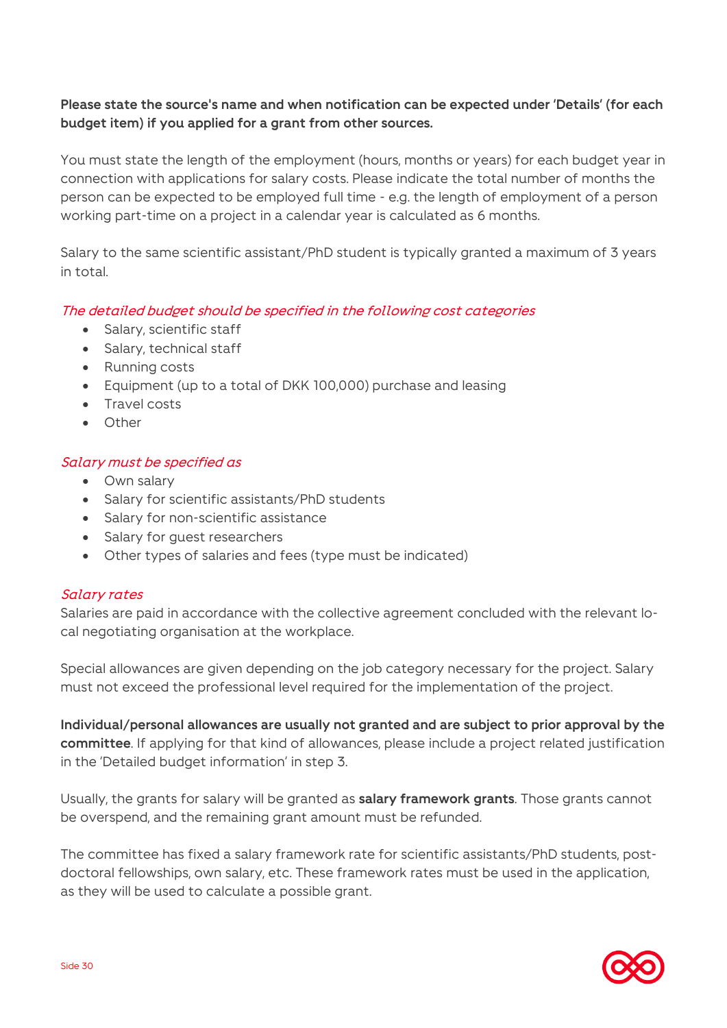### **Please state the source's name and when notification can be expected under 'Details' (for each budget item) if you applied for a grant from other sources.**

You must state the length of the employment (hours, months or years) for each budget year in connection with applications for salary costs. Please indicate the total number of months the person can be expected to be employed full time - e.g. the length of employment of a person working part-time on a project in a calendar year is calculated as 6 months.

Salary to the same scientific assistant/PhD student is typically granted a maximum of 3 years in total.

### The detailed budget should be specified in the following cost categories

- Salary, scientific staff
- Salary, technical staff
- Running costs
- Equipment (up to a total of DKK 100,000) purchase and leasing
- Travel costs
- Other

### Salary must be specified as

- Own salary
- Salary for scientific assistants/PhD students
- Salary for non-scientific assistance
- Salary for guest researchers
- Other types of salaries and fees (type must be indicated)

### Salary rates

Salaries are paid in accordance with the collective agreement concluded with the relevant local negotiating organisation at the workplace.

Special allowances are given depending on the job category necessary for the project. Salary must not exceed the professional level required for the implementation of the project.

**Individual/personal allowances are usually not granted and are subject to prior approval by the committee**. If applying for that kind of allowances, please include a project related justification in the 'Detailed budget information' in step 3.

Usually, the grants for salary will be granted as **salary framework grants**. Those grants cannot be overspend, and the remaining grant amount must be refunded.

The committee has fixed a salary framework rate for scientific assistants/PhD students, postdoctoral fellowships, own salary, etc. These framework rates must be used in the application, as they will be used to calculate a possible grant.

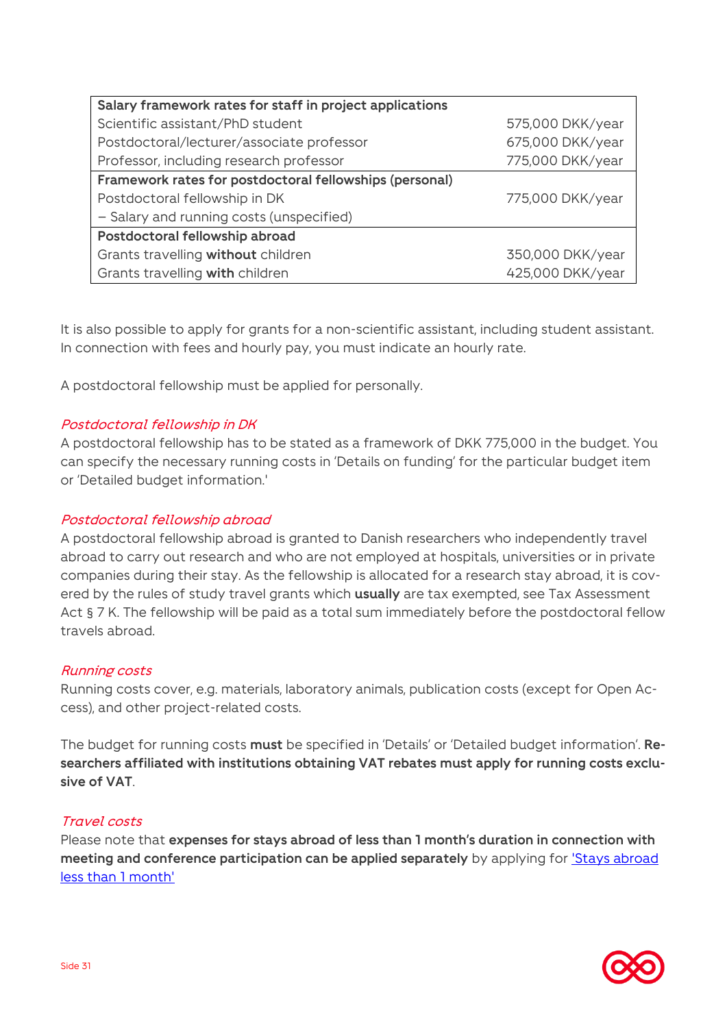| Salary framework rates for staff in project applications |                  |
|----------------------------------------------------------|------------------|
| Scientific assistant/PhD student                         | 575,000 DKK/year |
| Postdoctoral/lecturer/associate professor                | 675,000 DKK/year |
| Professor, including research professor                  | 775,000 DKK/year |
| Framework rates for postdoctoral fellowships (personal)  |                  |
| Postdoctoral fellowship in DK                            | 775,000 DKK/year |
| - Salary and running costs (unspecified)                 |                  |
| Postdoctoral fellowship abroad                           |                  |
| Grants travelling without children                       | 350,000 DKK/year |
| Grants travelling with children                          | 425,000 DKK/year |

It is also possible to apply for grants for a non-scientific assistant, including student assistant. In connection with fees and hourly pay, you must indicate an hourly rate.

A postdoctoral fellowship must be applied for personally.

### Postdoctoral fellowship in DK

A postdoctoral fellowship has to be stated as a framework of DKK 775,000 in the budget. You can specify the necessary running costs in 'Details on funding' for the particular budget item or 'Detailed budget information.'

#### Postdoctoral fellowship abroad

A postdoctoral fellowship abroad is granted to Danish researchers who independently travel abroad to carry out research and who are not employed at hospitals, universities or in private companies during their stay. As the fellowship is allocated for a research stay abroad, it is covered by the rules of study travel grants which **usually** are tax exempted, see Tax Assessment Act § 7 K. The fellowship will be paid as a total sum immediately before the postdoctoral fellow travels abroad.

#### Running costs

Running costs cover, e.g. materials, laboratory animals, publication costs (except for Open Access), and other project-related costs.

The budget for running costs **must** be specified in 'Details' or 'Detailed budget information'. **Researchers affiliated with institutions obtaining VAT rebates must apply for running costs exclusive of VAT**.

#### Travel costs

Please note that **expenses for stays abroad of less than 1 month's duration in connection with meeting and conference participation can be applied separately** by applying for ['Stays abroad](#page-18-0)  [less than 1 month'](#page-18-0)

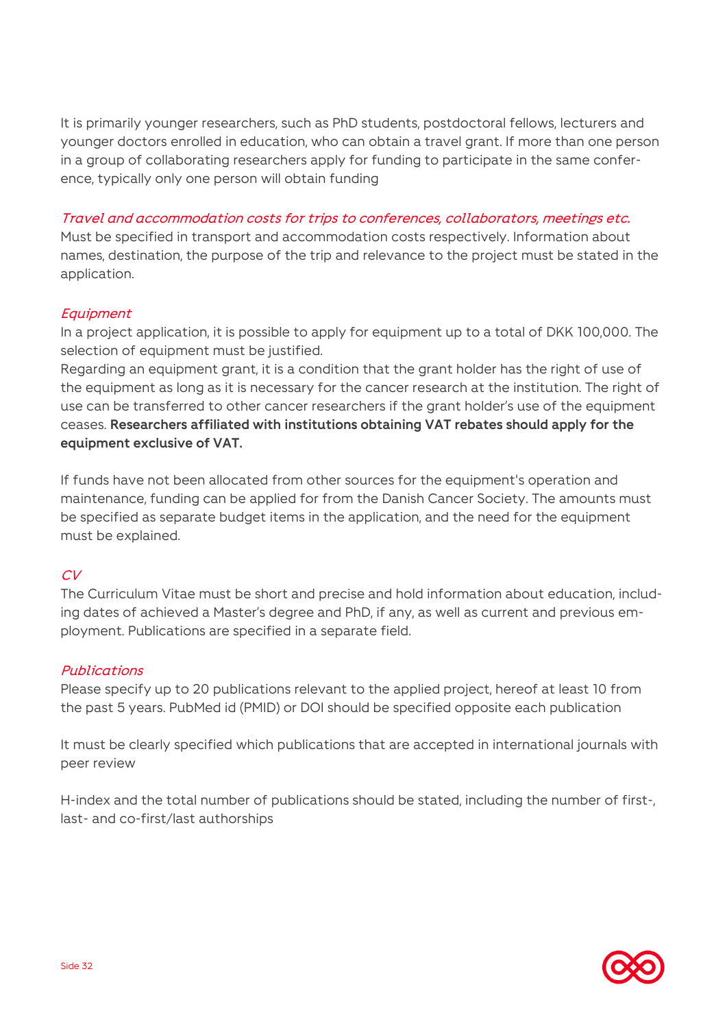It is primarily younger researchers, such as PhD students, postdoctoral fellows, lecturers and younger doctors enrolled in education, who can obtain a travel grant. If more than one person in a group of collaborating researchers apply for funding to participate in the same conference, typically only one person will obtain funding

### Travel and accommodation costs for trips to conferences, collaborators, meetings etc.

Must be specified in transport and accommodation costs respectively. Information about names, destination, the purpose of the trip and relevance to the project must be stated in the application.

### **Equipment**

In a project application, it is possible to apply for equipment up to a total of DKK 100,000. The selection of equipment must be justified.

Regarding an equipment grant, it is a condition that the grant holder has the right of use of the equipment as long as it is necessary for the cancer research at the institution. The right of use can be transferred to other cancer researchers if the grant holder's use of the equipment ceases. **Researchers affiliated with institutions obtaining VAT rebates should apply for the equipment exclusive of VAT.**

If funds have not been allocated from other sources for the equipment's operation and maintenance, funding can be applied for from the Danish Cancer Society. The amounts must be specified as separate budget items in the application, and the need for the equipment must be explained.

### $CV$

The Curriculum Vitae must be short and precise and hold information about education, including dates of achieved a Master's degree and PhD, if any, as well as current and previous employment. Publications are specified in a separate field.

### Publications

Please specify up to 20 publications relevant to the applied project, hereof at least 10 from the past 5 years. PubMed id (PMID) or DOI should be specified opposite each publication

It must be clearly specified which publications that are accepted in international journals with peer review

H-index and the total number of publications should be stated, including the number of first-, last- and co-first/last authorships

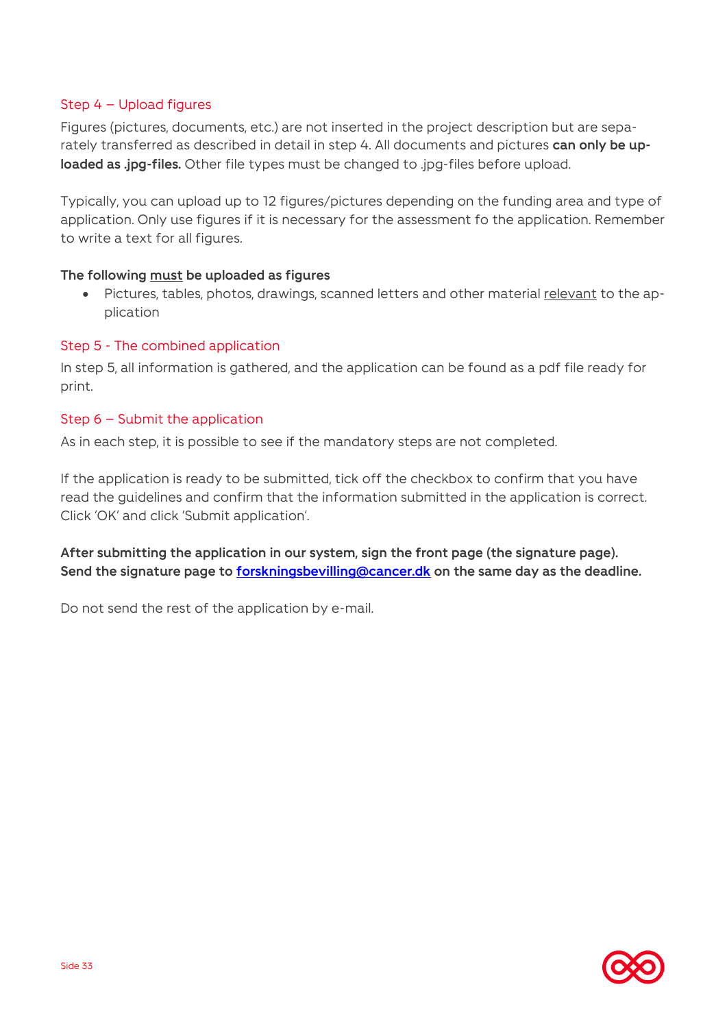### Step 4 – Upload figures

Figures (pictures, documents, etc.) are not inserted in the project description but are separately transferred as described in detail in step 4. All documents and pictures **can only be uploaded as .jpg-files.** Other file types must be changed to .jpg-files before upload.

Typically, you can upload up to 12 figures/pictures depending on the funding area and type of application. Only use figures if it is necessary for the assessment fo the application. Remember to write a text for all figures.

### **The following must be uploaded as figures**

• Pictures, tables, photos, drawings, scanned letters and other material relevant to the application

### Step 5 - The combined application

In step 5, all information is gathered, and the application can be found as a pdf file ready for print.

### <span id="page-32-0"></span>Step 6 – Submit the application

As in each step, it is possible to see if the mandatory steps are not completed.

If the application is ready to be submitted, tick off the checkbox to confirm that you have read the guidelines and confirm that the information submitted in the application is correct. Click 'OK' and click 'Submit application'.

**After submitting the application in our system, sign the front page (the signature page). Send the signature page to [forskningsbevilling@cancer.dk](mailto:forskningsbevilling@cancer.dk) on the same day as the deadline.**

Do not send the rest of the application by e-mail.